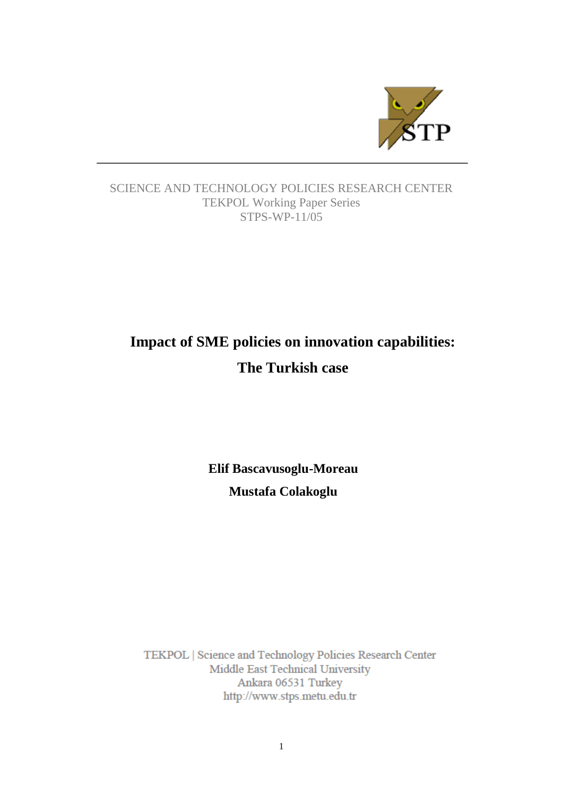

# SCIENCE AND TECHNOLOGY POLICIES RESEARCH CENTER TEKPOL Working Paper Series STPS-WP-11/05

# **Impact of SME policies on innovation capabilities: The Turkish case**

**Elif Bascavusoglu-Moreau Mustafa Colakoglu**

TEKPOL | Science and Technology Policies Research Center Middle East Technical University Ankara 06531 Turkey http://www.stps.metu.edu.tr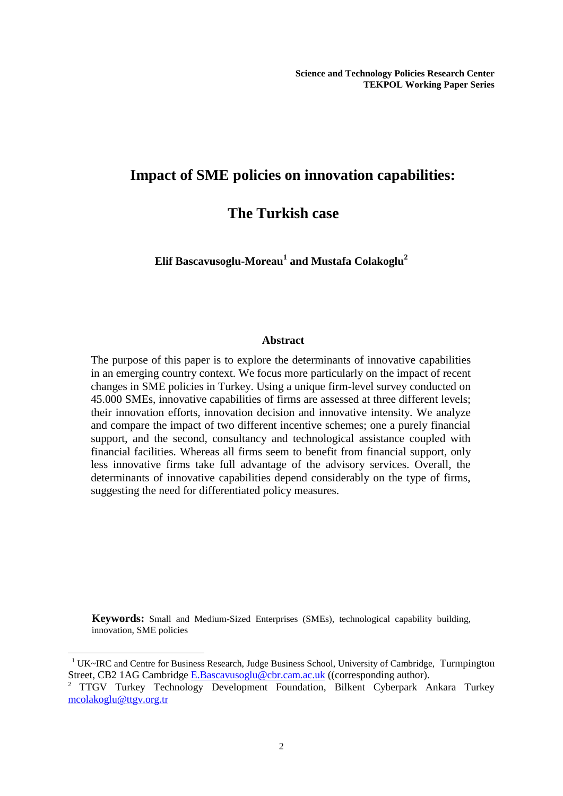# **Impact of SME policies on innovation capabilities:**

# **The Turkish case**

**Elif Bascavusoglu-Moreau<sup>1</sup> and Mustafa Colakoglu<sup>2</sup>**

#### **Abstract**

The purpose of this paper is to explore the determinants of innovative capabilities in an emerging country context. We focus more particularly on the impact of recent changes in SME policies in Turkey. Using a unique firm-level survey conducted on 45.000 SMEs, innovative capabilities of firms are assessed at three different levels; their innovation efforts, innovation decision and innovative intensity. We analyze and compare the impact of two different incentive schemes; one a purely financial support, and the second, consultancy and technological assistance coupled with financial facilities. Whereas all firms seem to benefit from financial support, only less innovative firms take full advantage of the advisory services. Overall, the determinants of innovative capabilities depend considerably on the type of firms, suggesting the need for differentiated policy measures.

**Keywords:** Small and Medium-Sized Enterprises (SMEs), technological capability building, innovation, SME policies

-

<sup>1</sup> UK~IRC and Centre for Business Research, Judge Business School, University of Cambridge, Turmpington Street, CB2 1AG Cambridge [E.Bascavusoglu@cbr.cam.ac.uk](mailto:E.Bascavusoglu@cbr.cam.ac.uk) ((corresponding author).

<sup>2</sup> TTGV Turkey Technology Development Foundation, Bilkent Cyberpark Ankara Turkey [mcolakoglu@ttgv.org.tr](javascript:popup_imp()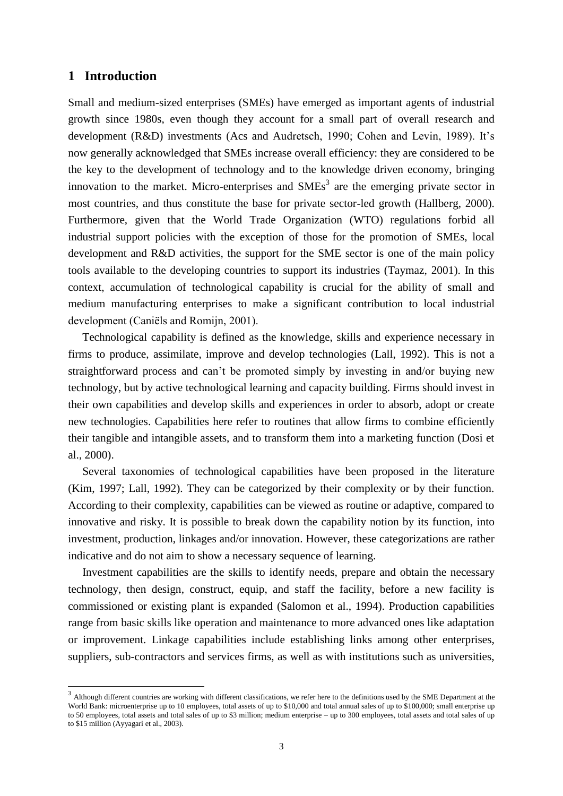# **1 Introduction**

-

Small and medium-sized enterprises (SMEs) have emerged as important agents of industrial growth since 1980s, even though they account for a small part of overall research and development (R&D) investments (Acs and Audretsch, 1990; Cohen and Levin, 1989). It's now generally acknowledged that SMEs increase overall efficiency: they are considered to be the key to the development of technology and to the knowledge driven economy, bringing innovation to the market. Micro-enterprises and  $SMEs<sup>3</sup>$  are the emerging private sector in most countries, and thus constitute the base for private sector-led growth (Hallberg, 2000). Furthermore, given that the World Trade Organization (WTO) regulations forbid all industrial support policies with the exception of those for the promotion of SMEs, local development and R&D activities, the support for the SME sector is one of the main policy tools available to the developing countries to support its industries (Taymaz, 2001). In this context, accumulation of technological capability is crucial for the ability of small and medium manufacturing enterprises to make a significant contribution to local industrial development (Caniëls and Romijn, 2001).

Technological capability is defined as the knowledge, skills and experience necessary in firms to produce, assimilate, improve and develop technologies (Lall, 1992). This is not a straightforward process and can't be promoted simply by investing in and/or buying new technology, but by active technological learning and capacity building. Firms should invest in their own capabilities and develop skills and experiences in order to absorb, adopt or create new technologies. Capabilities here refer to routines that allow firms to combine efficiently their tangible and intangible assets, and to transform them into a marketing function (Dosi et al., 2000).

Several taxonomies of technological capabilities have been proposed in the literature (Kim, 1997; Lall, 1992). They can be categorized by their complexity or by their function. According to their complexity, capabilities can be viewed as routine or adaptive, compared to innovative and risky. It is possible to break down the capability notion by its function, into investment, production, linkages and/or innovation. However, these categorizations are rather indicative and do not aim to show a necessary sequence of learning.

Investment capabilities are the skills to identify needs, prepare and obtain the necessary technology, then design, construct, equip, and staff the facility, before a new facility is commissioned or existing plant is expanded (Salomon et al., 1994). Production capabilities range from basic skills like operation and maintenance to more advanced ones like adaptation or improvement. Linkage capabilities include establishing links among other enterprises, suppliers, sub-contractors and services firms, as well as with institutions such as universities,

 $3$  Although different countries are working with different classifications, we refer here to the definitions used by the SME Department at the World Bank: microenterprise up to 10 employees, total assets of up to \$10,000 and total annual sales of up to \$100,000; small enterprise up to 50 employees, total assets and total sales of up to \$3 million; medium enterprise – up to 300 employees, total assets and total sales of up to \$15 million (Ayyagari et al., 2003).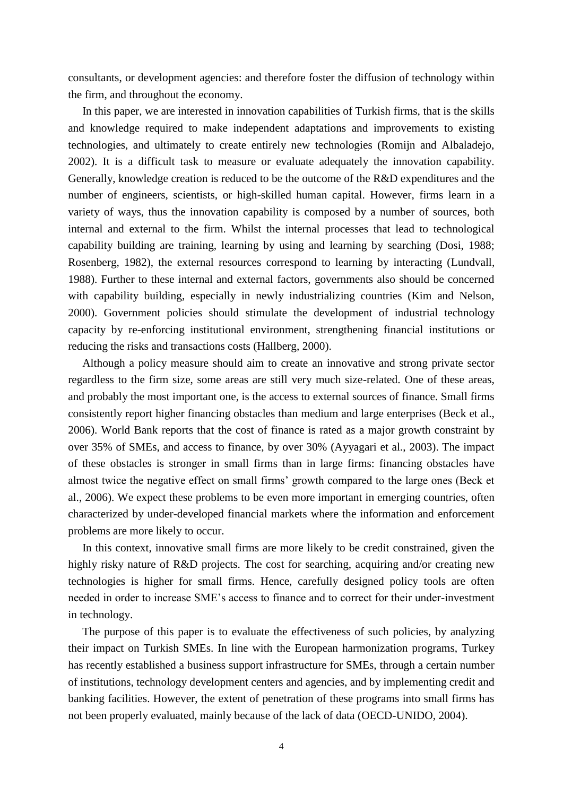consultants, or development agencies: and therefore foster the diffusion of technology within the firm, and throughout the economy.

In this paper, we are interested in innovation capabilities of Turkish firms, that is the skills and knowledge required to make independent adaptations and improvements to existing technologies, and ultimately to create entirely new technologies (Romijn and Albaladejo, 2002). It is a difficult task to measure or evaluate adequately the innovation capability. Generally, knowledge creation is reduced to be the outcome of the R&D expenditures and the number of engineers, scientists, or high-skilled human capital. However, firms learn in a variety of ways, thus the innovation capability is composed by a number of sources, both internal and external to the firm. Whilst the internal processes that lead to technological capability building are training, learning by using and learning by searching (Dosi, 1988; Rosenberg, 1982), the external resources correspond to learning by interacting (Lundvall, 1988). Further to these internal and external factors, governments also should be concerned with capability building, especially in newly industrializing countries (Kim and Nelson, 2000). Government policies should stimulate the development of industrial technology capacity by re-enforcing institutional environment, strengthening financial institutions or reducing the risks and transactions costs (Hallberg, 2000).

Although a policy measure should aim to create an innovative and strong private sector regardless to the firm size, some areas are still very much size-related. One of these areas, and probably the most important one, is the access to external sources of finance. Small firms consistently report higher financing obstacles than medium and large enterprises (Beck et al., 2006). World Bank reports that the cost of finance is rated as a major growth constraint by over 35% of SMEs, and access to finance, by over 30% (Ayyagari et al., 2003). The impact of these obstacles is stronger in small firms than in large firms: financing obstacles have almost twice the negative effect on small firms' growth compared to the large ones (Beck et al., 2006). We expect these problems to be even more important in emerging countries, often characterized by under-developed financial markets where the information and enforcement problems are more likely to occur.

In this context, innovative small firms are more likely to be credit constrained, given the highly risky nature of R&D projects. The cost for searching, acquiring and/or creating new technologies is higher for small firms. Hence, carefully designed policy tools are often needed in order to increase SME's access to finance and to correct for their under-investment in technology.

The purpose of this paper is to evaluate the effectiveness of such policies, by analyzing their impact on Turkish SMEs. In line with the European harmonization programs, Turkey has recently established a business support infrastructure for SMEs, through a certain number of institutions, technology development centers and agencies, and by implementing credit and banking facilities. However, the extent of penetration of these programs into small firms has not been properly evaluated, mainly because of the lack of data (OECD-UNIDO, 2004).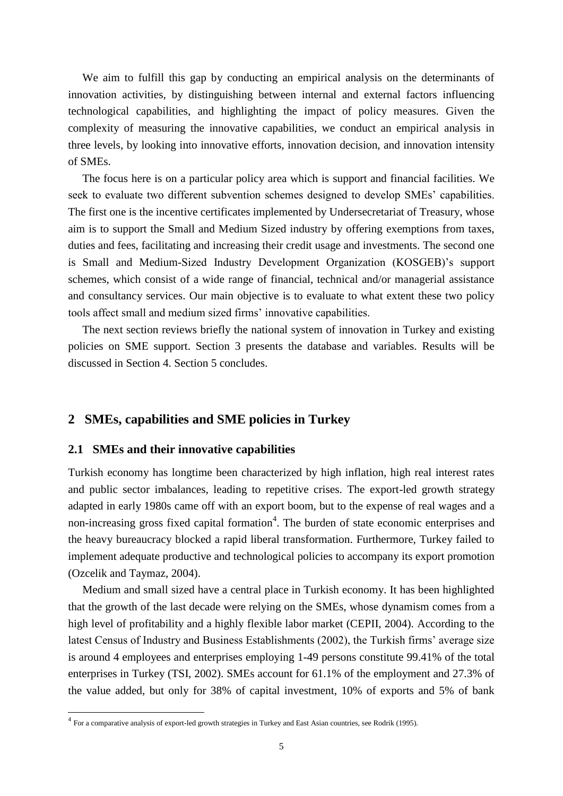We aim to fulfill this gap by conducting an empirical analysis on the determinants of innovation activities, by distinguishing between internal and external factors influencing technological capabilities, and highlighting the impact of policy measures. Given the complexity of measuring the innovative capabilities, we conduct an empirical analysis in three levels, by looking into innovative efforts, innovation decision, and innovation intensity of SMEs.

The focus here is on a particular policy area which is support and financial facilities. We seek to evaluate two different subvention schemes designed to develop SMEs' capabilities. The first one is the incentive certificates implemented by Undersecretariat of Treasury, whose aim is to support the Small and Medium Sized industry by offering exemptions from taxes, duties and fees, facilitating and increasing their credit usage and investments. The second one is Small and Medium-Sized Industry Development Organization (KOSGEB)'s support schemes, which consist of a wide range of financial, technical and/or managerial assistance and consultancy services. Our main objective is to evaluate to what extent these two policy tools affect small and medium sized firms' innovative capabilities.

The next section reviews briefly the national system of innovation in Turkey and existing policies on SME support. Section 3 presents the database and variables. Results will be discussed in Section 4. Section 5 concludes.

# **2 SMEs, capabilities and SME policies in Turkey**

## **2.1 SMEs and their innovative capabilities**

Turkish economy has longtime been characterized by high inflation, high real interest rates and public sector imbalances, leading to repetitive crises. The export-led growth strategy adapted in early 1980s came off with an export boom, but to the expense of real wages and a non-increasing gross fixed capital formation<sup>4</sup>. The burden of state economic enterprises and the heavy bureaucracy blocked a rapid liberal transformation. Furthermore, Turkey failed to implement adequate productive and technological policies to accompany its export promotion (Ozcelik and Taymaz, 2004).

Medium and small sized have a central place in Turkish economy. It has been highlighted that the growth of the last decade were relying on the SMEs, whose dynamism comes from a high level of profitability and a highly flexible labor market (CEPII, 2004). According to the latest Census of Industry and Business Establishments (2002), the Turkish firms' average size is around 4 employees and enterprises employing 1-49 persons constitute 99.41% of the total enterprises in Turkey (TSI, 2002). SMEs account for 61.1% of the employment and 27.3% of the value added, but only for 38% of capital investment, 10% of exports and 5% of bank

 4 For a comparative analysis of export-led growth strategies in Turkey and East Asian countries, see Rodrik (1995).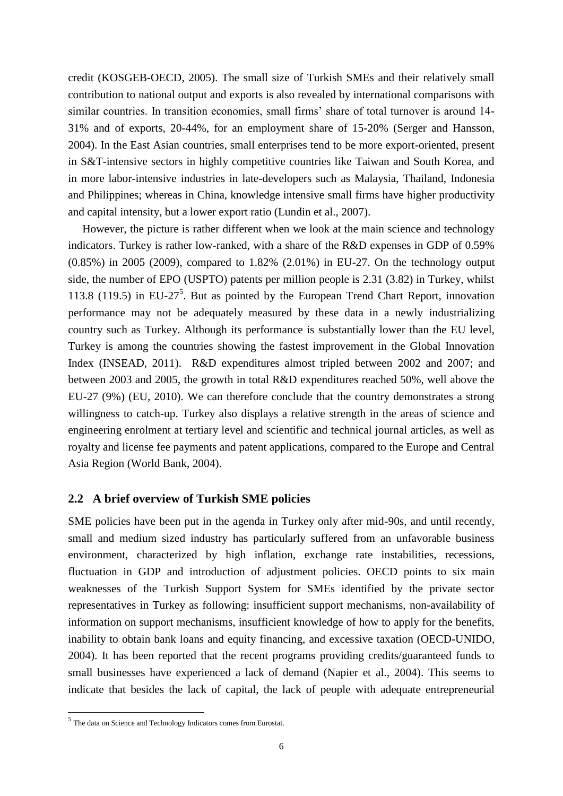credit (KOSGEB-OECD, 2005). The small size of Turkish SMEs and their relatively small contribution to national output and exports is also revealed by international comparisons with similar countries. In transition economies, small firms' share of total turnover is around 14- 31% and of exports, 20-44%, for an employment share of 15-20% (Serger and Hansson, 2004). In the East Asian countries, small enterprises tend to be more export-oriented, present in S&T-intensive sectors in highly competitive countries like Taiwan and South Korea, and in more labor-intensive industries in late-developers such as Malaysia, Thailand, Indonesia and Philippines; whereas in China, knowledge intensive small firms have higher productivity and capital intensity, but a lower export ratio (Lundin et al., 2007).

However, the picture is rather different when we look at the main science and technology indicators. Turkey is rather low-ranked, with a share of the R&D expenses in GDP of 0.59% (0.85%) in 2005 (2009), compared to 1.82% (2.01%) in EU-27. On the technology output side, the number of EPO (USPTO) patents per million people is 2.31 (3.82) in Turkey, whilst 113.8 (119.5) in EU-27<sup>5</sup>. But as pointed by the European Trend Chart Report, innovation performance may not be adequately measured by these data in a newly industrializing country such as Turkey. Although its performance is substantially lower than the EU level, Turkey is among the countries showing the fastest improvement in the Global Innovation Index (INSEAD, 2011). R&D expenditures almost tripled between 2002 and 2007; and between 2003 and 2005, the growth in total R&D expenditures reached 50%, well above the EU-27 (9%) (EU, 2010). We can therefore conclude that the country demonstrates a strong willingness to catch-up. Turkey also displays a relative strength in the areas of science and engineering enrolment at tertiary level and scientific and technical journal articles, as well as royalty and license fee payments and patent applications, compared to the Europe and Central Asia Region (World Bank, 2004).

# **2.2 A brief overview of Turkish SME policies**

SME policies have been put in the agenda in Turkey only after mid-90s, and until recently, small and medium sized industry has particularly suffered from an unfavorable business environment, characterized by high inflation, exchange rate instabilities, recessions, fluctuation in GDP and introduction of adjustment policies. OECD points to six main weaknesses of the Turkish Support System for SMEs identified by the private sector representatives in Turkey as following: insufficient support mechanisms, non-availability of information on support mechanisms, insufficient knowledge of how to apply for the benefits, inability to obtain bank loans and equity financing, and excessive taxation (OECD-UNIDO, 2004). It has been reported that the recent programs providing credits/guaranteed funds to small businesses have experienced a lack of demand (Napier et al., 2004). This seems to indicate that besides the lack of capital, the lack of people with adequate entrepreneurial

The data on Science and Technology Indicators comes from Eurostat.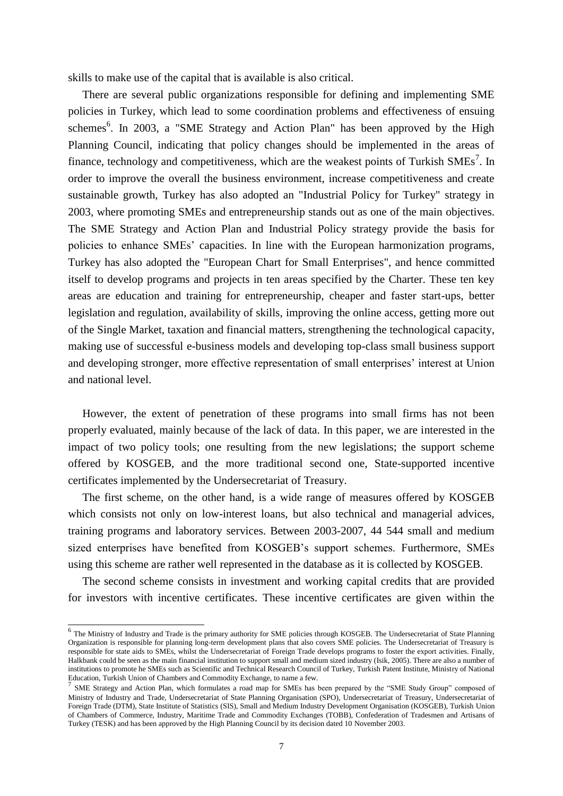skills to make use of the capital that is available is also critical.

There are several public organizations responsible for defining and implementing SME policies in Turkey, which lead to some coordination problems and effectiveness of ensuing schemes<sup>6</sup>. In 2003, a "SME Strategy and Action Plan" has been approved by the High Planning Council, indicating that policy changes should be implemented in the areas of finance, technology and competitiveness, which are the weakest points of Turkish  $SMEs<sup>7</sup>$ . In order to improve the overall the business environment, increase competitiveness and create sustainable growth, Turkey has also adopted an "Industrial Policy for Turkey" strategy in 2003, where promoting SMEs and entrepreneurship stands out as one of the main objectives. The SME Strategy and Action Plan and Industrial Policy strategy provide the basis for policies to enhance SMEs' capacities. In line with the European harmonization programs, Turkey has also adopted the "European Chart for Small Enterprises", and hence committed itself to develop programs and projects in ten areas specified by the Charter. These ten key areas are education and training for entrepreneurship, cheaper and faster start-ups, better legislation and regulation, availability of skills, improving the online access, getting more out of the Single Market, taxation and financial matters, strengthening the technological capacity, making use of successful e-business models and developing top-class small business support and developing stronger, more effective representation of small enterprises' interest at Union and national level.

However, the extent of penetration of these programs into small firms has not been properly evaluated, mainly because of the lack of data. In this paper, we are interested in the impact of two policy tools; one resulting from the new legislations; the support scheme offered by KOSGEB, and the more traditional second one, State-supported incentive certificates implemented by the Undersecretariat of Treasury.

The first scheme, on the other hand, is a wide range of measures offered by KOSGEB which consists not only on low-interest loans, but also technical and managerial advices, training programs and laboratory services. Between 2003-2007, 44 544 small and medium sized enterprises have benefited from KOSGEB's support schemes. Furthermore, SMEs using this scheme are rather well represented in the database as it is collected by KOSGEB.

The second scheme consists in investment and working capital credits that are provided for investors with incentive certificates. These incentive certificates are given within the

<sup>&</sup>lt;sup>6</sup> The Ministry of Industry and Trade is the primary authority for SME policies through KOSGEB. The Undersecretariat of State Planning Organization is responsible for planning long-term development plans that also covers SME policies. The Undersecretariat of Treasury is responsible for state aids to SMEs, whilst the Undersecretariat of Foreign Trade develops programs to foster the export activities. Finally, Halkbank could be seen as the main financial institution to support small and medium sized industry (Isik, 2005). There are also a number of institutions to promote he SMEs such as Scientific and Technical Research Council of Turkey, Turkish Patent Institute, Ministry of National Education, Turkish Union of Chambers and Commodity Exchange, to name a few.

<sup>&</sup>lt;sup>7</sup> SME Strategy and Action Plan, which formulates a road map for SMEs has been prepared by the "SME Study Group" composed of Ministry of Industry and Trade, Undersecretariat of State Planning Organisation (SPO), Undersecretariat of Treasury, Undersecretariat of Foreign Trade (DTM), State Institute of Statistics (SIS), Small and Medium Industry Development Organisation (KOSGEB), Turkish Union of Chambers of Commerce, Industry, Maritime Trade and Commodity Exchanges (TOBB), Confederation of Tradesmen and Artisans of Turkey (TESK) and has been approved by the High Planning Council by its decision dated 10 November 2003.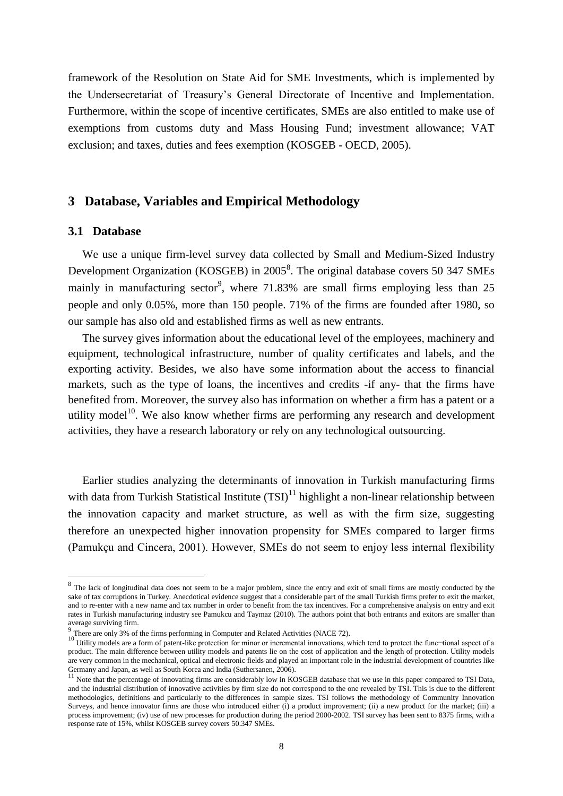framework of the Resolution on State Aid for SME Investments, which is implemented by the Undersecretariat of Treasury's General Directorate of Incentive and Implementation. Furthermore, within the scope of incentive certificates, SMEs are also entitled to make use of exemptions from customs duty and Mass Housing Fund; investment allowance; VAT exclusion; and taxes, duties and fees exemption (KOSGEB - OECD, 2005).

# **3 Database, Variables and Empirical Methodology**

#### **3.1 Database**

1

We use a unique firm-level survey data collected by Small and Medium-Sized Industry Development Organization (KOSGEB) in 2005<sup>8</sup>. The original database covers 50 347 SMEs mainly in manufacturing sector<sup>9</sup>, where 71.83% are small firms employing less than 25 people and only 0.05%, more than 150 people. 71% of the firms are founded after 1980, so our sample has also old and established firms as well as new entrants.

The survey gives information about the educational level of the employees, machinery and equipment, technological infrastructure, number of quality certificates and labels, and the exporting activity. Besides, we also have some information about the access to financial markets, such as the type of loans, the incentives and credits -if any- that the firms have benefited from. Moreover, the survey also has information on whether a firm has a patent or a utility model<sup>10</sup>. We also know whether firms are performing any research and development activities, they have a research laboratory or rely on any technological outsourcing.

Earlier studies analyzing the determinants of innovation in Turkish manufacturing firms with data from Turkish Statistical Institute  $(TSI)^{11}$  highlight a non-linear relationship between the innovation capacity and market structure, as well as with the firm size, suggesting therefore an unexpected higher innovation propensity for SMEs compared to larger firms (Pamukçu and Cincera, 2001). However, SMEs do not seem to enjoy less internal flexibility

<sup>&</sup>lt;sup>8</sup> The lack of longitudinal data does not seem to be a major problem, since the entry and exit of small firms are mostly conducted by the sake of tax corruptions in Turkey. Anecdotical evidence suggest that a considerable part of the small Turkish firms prefer to exit the market, and to re-enter with a new name and tax number in order to benefit from the tax incentives. For a comprehensive analysis on entry and exit rates in Turkish manufacturing industry see Pamukcu and Taymaz (2010). The authors point that both entrants and exitors are smaller than average surviving firm.

<sup>&</sup>lt;sup>9</sup> There are only 3% of the firms performing in Computer and Related Activities (NACE 72).<br><sup>10</sup> Utility models are a form of patent-like protection for minor or incremental innovations, which tend to protect the func-tio product. The main difference between utility models and patents lie on the cost of application and the length of protection. Utility models are very common in the mechanical, optical and electronic fields and played an important role in the industrial development of countries like Germany and Japan, as well as South Korea and India (Suthersanen, 2006).

<sup>&</sup>lt;sup>11</sup> Note that the percentage of innovating firms are considerably low in KOSGEB database that we use in this paper compared to TSI Data, and the industrial distribution of innovative activities by firm size do not correspond to the one revealed by TSI. This is due to the different methodologies, definitions and particularly to the differences in sample sizes. TSI follows the methodology of Community Innovation Surveys, and hence innovator firms are those who introduced either (i) a product improvement; (ii) a new product for the market; (iii) a process improvement; (iv) use of new processes for production during the period 2000-2002. TSI survey has been sent to 8375 firms, with a response rate of 15%, whilst KOSGEB survey covers 50.347 SMEs.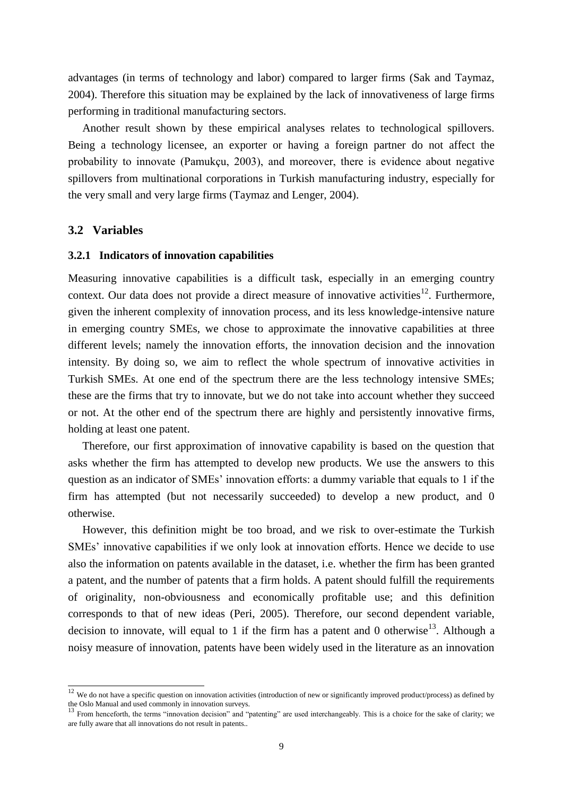advantages (in terms of technology and labor) compared to larger firms (Sak and Taymaz, 2004). Therefore this situation may be explained by the lack of innovativeness of large firms performing in traditional manufacturing sectors.

Another result shown by these empirical analyses relates to technological spillovers. Being a technology licensee, an exporter or having a foreign partner do not affect the probability to innovate (Pamukçu, 2003), and moreover, there is evidence about negative spillovers from multinational corporations in Turkish manufacturing industry, especially for the very small and very large firms (Taymaz and Lenger, 2004).

# **3.2 Variables**

 $\overline{a}$ 

#### **3.2.1 Indicators of innovation capabilities**

Measuring innovative capabilities is a difficult task, especially in an emerging country context. Our data does not provide a direct measure of innovative activities<sup>12</sup>. Furthermore, given the inherent complexity of innovation process, and its less knowledge-intensive nature in emerging country SMEs, we chose to approximate the innovative capabilities at three different levels; namely the innovation efforts, the innovation decision and the innovation intensity. By doing so, we aim to reflect the whole spectrum of innovative activities in Turkish SMEs. At one end of the spectrum there are the less technology intensive SMEs; these are the firms that try to innovate, but we do not take into account whether they succeed or not. At the other end of the spectrum there are highly and persistently innovative firms, holding at least one patent.

Therefore, our first approximation of innovative capability is based on the question that asks whether the firm has attempted to develop new products. We use the answers to this question as an indicator of SMEs' innovation efforts: a dummy variable that equals to 1 if the firm has attempted (but not necessarily succeeded) to develop a new product, and 0 otherwise.

However, this definition might be too broad, and we risk to over-estimate the Turkish SMEs' innovative capabilities if we only look at innovation efforts. Hence we decide to use also the information on patents available in the dataset, i.e. whether the firm has been granted a patent, and the number of patents that a firm holds. A patent should fulfill the requirements of originality, non-obviousness and economically profitable use; and this definition corresponds to that of new ideas (Peri, 2005). Therefore, our second dependent variable, decision to innovate, will equal to 1 if the firm has a patent and 0 otherwise<sup>13</sup>. Although a noisy measure of innovation, patents have been widely used in the literature as an innovation

 $12$  We do not have a specific question on innovation activities (introduction of new or significantly improved product/process) as defined by the Oslo Manual and used commonly in innovation surveys.

<sup>&</sup>lt;sup>13</sup> From henceforth, the terms "innovation decision" and "patenting" are used interchangeably. This is a choice for the sake of clarity; we are fully aware that all innovations do not result in patents..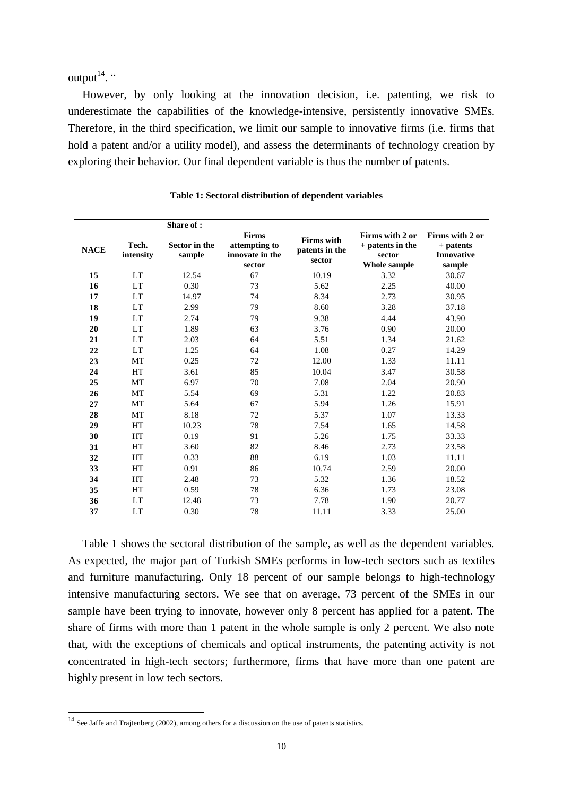output $14$ .

However, by only looking at the innovation decision, i.e. patenting, we risk to underestimate the capabilities of the knowledge-intensive, persistently innovative SMEs. Therefore, in the third specification, we limit our sample to innovative firms (i.e. firms that hold a patent and/or a utility model), and assess the determinants of technology creation by exploring their behavior. Our final dependent variable is thus the number of patents.

|             |                    | Share of:               |                                                            |                                               |                                                               |                                                             |
|-------------|--------------------|-------------------------|------------------------------------------------------------|-----------------------------------------------|---------------------------------------------------------------|-------------------------------------------------------------|
| <b>NACE</b> | Tech.<br>intensity | Sector in the<br>sample | <b>Firms</b><br>attempting to<br>innovate in the<br>sector | <b>Firms</b> with<br>patents in the<br>sector | Firms with 2 or<br>+ patents in the<br>sector<br>Whole sample | Firms with 2 or<br>+ patents<br><b>Innovative</b><br>sample |
| 15          | <b>LT</b>          | 12.54                   | 67                                                         | 10.19                                         | 3.32                                                          | 30.67                                                       |
| 16          | <b>LT</b>          | 0.30                    | 73                                                         | 5.62                                          | 2.25                                                          | 40.00                                                       |
| 17          | <b>LT</b>          | 14.97                   | 74                                                         | 8.34                                          | 2.73                                                          | 30.95                                                       |
| 18          | <b>LT</b>          | 2.99                    | 79                                                         | 8.60                                          | 3.28                                                          | 37.18                                                       |
| 19          | <b>LT</b>          | 2.74                    | 79                                                         | 9.38                                          | 4.44                                                          | 43.90                                                       |
| 20          | <b>LT</b>          | 1.89                    | 63                                                         | 3.76                                          | 0.90                                                          | 20.00                                                       |
| 21          | <b>LT</b>          | 2.03                    | 64                                                         | 5.51                                          | 1.34                                                          | 21.62                                                       |
| 22          | <b>LT</b>          | 1.25                    | 64                                                         | 1.08                                          | 0.27                                                          | 14.29                                                       |
| 23          | MT                 | 0.25                    | 72                                                         | 12.00                                         | 1.33                                                          | 11.11                                                       |
| 24          | HT                 | 3.61                    | 85                                                         | 10.04                                         | 3.47                                                          | 30.58                                                       |
| 25          | MT                 | 6.97                    | 70                                                         | 7.08                                          | 2.04                                                          | 20.90                                                       |
| 26          | MT                 | 5.54                    | 69                                                         | 5.31                                          | 1.22                                                          | 20.83                                                       |
| 27          | MT                 | 5.64                    | 67                                                         | 5.94                                          | 1.26                                                          | 15.91                                                       |
| 28          | <b>MT</b>          | 8.18                    | 72                                                         | 5.37                                          | 1.07                                                          | 13.33                                                       |
| 29          | HT                 | 10.23                   | 78                                                         | 7.54                                          | 1.65                                                          | 14.58                                                       |
| 30          | HT                 | 0.19                    | 91                                                         | 5.26                                          | 1.75                                                          | 33.33                                                       |
| 31          | HT                 | 3.60                    | 82                                                         | 8.46                                          | 2.73                                                          | 23.58                                                       |
| 32          | HT                 | 0.33                    | 88                                                         | 6.19                                          | 1.03                                                          | 11.11                                                       |
| 33          | HT                 | 0.91                    | 86                                                         | 10.74                                         | 2.59                                                          | 20.00                                                       |
| 34          | HT                 | 2.48                    | 73                                                         | 5.32                                          | 1.36                                                          | 18.52                                                       |
| 35          | HT                 | 0.59                    | 78                                                         | 6.36                                          | 1.73                                                          | 23.08                                                       |
| 36          | <b>LT</b>          | 12.48                   | 73                                                         | 7.78                                          | 1.90                                                          | 20.77                                                       |
| 37          | LT                 | 0.30                    | 78                                                         | 11.11                                         | 3.33                                                          | 25.00                                                       |

**Table 1: Sectoral distribution of dependent variables**

Table 1 shows the sectoral distribution of the sample, as well as the dependent variables. As expected, the major part of Turkish SMEs performs in low-tech sectors such as textiles and furniture manufacturing. Only 18 percent of our sample belongs to high-technology intensive manufacturing sectors. We see that on average, 73 percent of the SMEs in our sample have been trying to innovate, however only 8 percent has applied for a patent. The share of firms with more than 1 patent in the whole sample is only 2 percent. We also note that, with the exceptions of chemicals and optical instruments, the patenting activity is not concentrated in high-tech sectors; furthermore, firms that have more than one patent are highly present in low tech sectors.

 $\overline{a}$ 

 $14$  See Jaffe and Trajtenberg (2002), among others for a discussion on the use of patents statistics.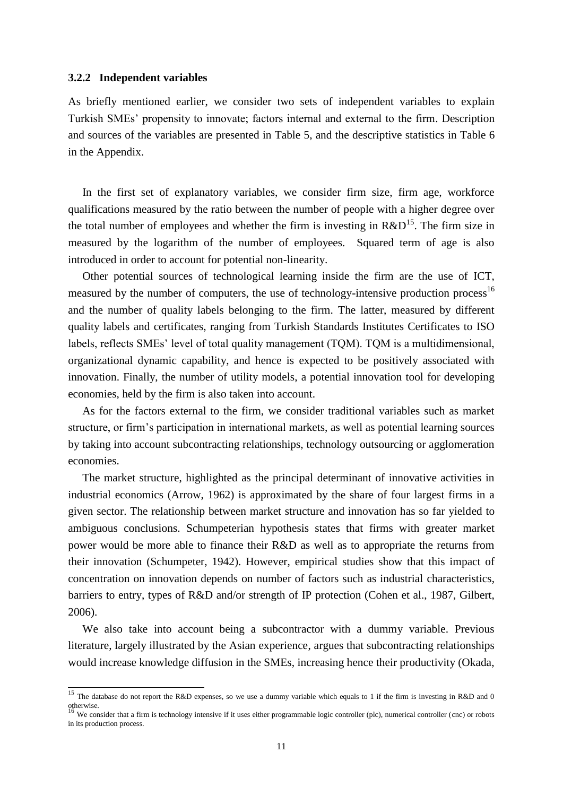#### **3.2.2 Independent variables**

 $\overline{a}$ 

As briefly mentioned earlier, we consider two sets of independent variables to explain Turkish SMEs' propensity to innovate; factors internal and external to the firm. Description and sources of the variables are presented in Table 5, and the descriptive statistics in Table 6 in the Appendix.

In the first set of explanatory variables, we consider firm size, firm age, workforce qualifications measured by the ratio between the number of people with a higher degree over the total number of employees and whether the firm is investing in  $R&D^{15}$ . The firm size in measured by the logarithm of the number of employees. Squared term of age is also introduced in order to account for potential non-linearity.

Other potential sources of technological learning inside the firm are the use of ICT, measured by the number of computers, the use of technology-intensive production process<sup>16</sup> and the number of quality labels belonging to the firm. The latter, measured by different quality labels and certificates, ranging from Turkish Standards Institutes Certificates to ISO labels, reflects SMEs' level of total quality management (TQM). TQM is a multidimensional, organizational dynamic capability, and hence is expected to be positively associated with innovation. Finally, the number of utility models, a potential innovation tool for developing economies, held by the firm is also taken into account.

As for the factors external to the firm, we consider traditional variables such as market structure, or firm's participation in international markets, as well as potential learning sources by taking into account subcontracting relationships, technology outsourcing or agglomeration economies.

The market structure, highlighted as the principal determinant of innovative activities in industrial economics (Arrow, 1962) is approximated by the share of four largest firms in a given sector. The relationship between market structure and innovation has so far yielded to ambiguous conclusions. Schumpeterian hypothesis states that firms with greater market power would be more able to finance their R&D as well as to appropriate the returns from their innovation (Schumpeter, 1942). However, empirical studies show that this impact of concentration on innovation depends on number of factors such as industrial characteristics, barriers to entry, types of R&D and/or strength of IP protection (Cohen et al., 1987, Gilbert, 2006).

We also take into account being a subcontractor with a dummy variable. Previous literature, largely illustrated by the Asian experience, argues that subcontracting relationships would increase knowledge diffusion in the SMEs, increasing hence their productivity (Okada,

<sup>&</sup>lt;sup>15</sup> The database do not report the R&D expenses, so we use a dummy variable which equals to 1 if the firm is investing in R&D and 0 otherwise.<br><sup>16</sup> We consider that a firm is technology intensive if it uses either programmable logic controller (plc), numerical controller (cnc) or robots

in its production process.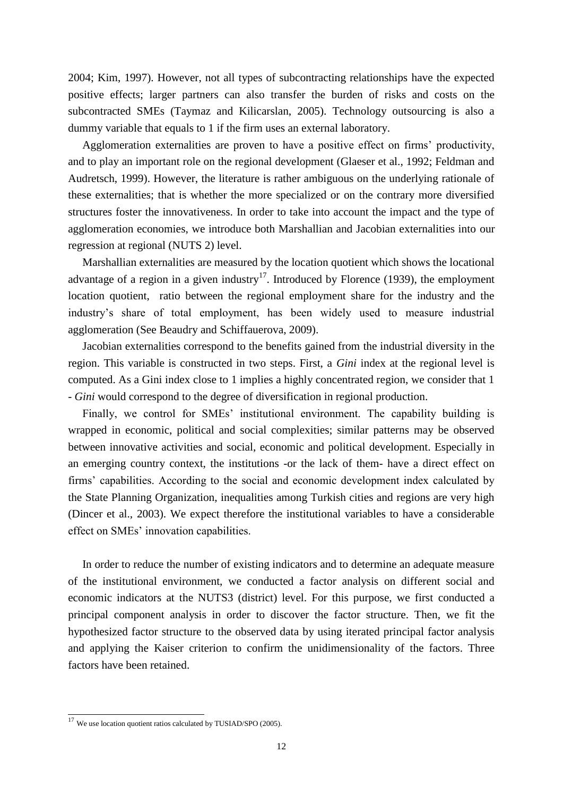2004; Kim, 1997). However, not all types of subcontracting relationships have the expected positive effects; larger partners can also transfer the burden of risks and costs on the subcontracted SMEs (Taymaz and Kilicarslan, 2005). Technology outsourcing is also a dummy variable that equals to 1 if the firm uses an external laboratory.

Agglomeration externalities are proven to have a positive effect on firms' productivity, and to play an important role on the regional development (Glaeser et al., 1992; Feldman and Audretsch, 1999). However, the literature is rather ambiguous on the underlying rationale of these externalities; that is whether the more specialized or on the contrary more diversified structures foster the innovativeness. In order to take into account the impact and the type of agglomeration economies, we introduce both Marshallian and Jacobian externalities into our regression at regional (NUTS 2) level.

Marshallian externalities are measured by the location quotient which shows the locational advantage of a region in a given industry<sup>17</sup>. Introduced by Florence (1939), the employment location quotient, ratio between the regional employment share for the industry and the industry's share of total employment, has been widely used to measure industrial agglomeration (See Beaudry and Schiffauerova, 2009).

Jacobian externalities correspond to the benefits gained from the industrial diversity in the region. This variable is constructed in two steps. First, a *Gini* index at the regional level is computed. As a Gini index close to 1 implies a highly concentrated region, we consider that 1 *- Gini* would correspond to the degree of diversification in regional production.

Finally, we control for SMEs' institutional environment. The capability building is wrapped in economic, political and social complexities; similar patterns may be observed between innovative activities and social, economic and political development. Especially in an emerging country context, the institutions -or the lack of them- have a direct effect on firms' capabilities. According to the social and economic development index calculated by the State Planning Organization, inequalities among Turkish cities and regions are very high (Dincer et al., 2003). We expect therefore the institutional variables to have a considerable effect on SMEs' innovation capabilities.

In order to reduce the number of existing indicators and to determine an adequate measure of the institutional environment, we conducted a factor analysis on different social and economic indicators at the NUTS3 (district) level. For this purpose, we first conducted a principal component analysis in order to discover the factor structure. Then, we fit the hypothesized factor structure to the observed data by using iterated principal factor analysis and applying the Kaiser criterion to confirm the unidimensionality of the factors. Three factors have been retained.

 $\overline{a}$ 

 $17$  We use location quotient ratios calculated by TUSIAD/SPO (2005).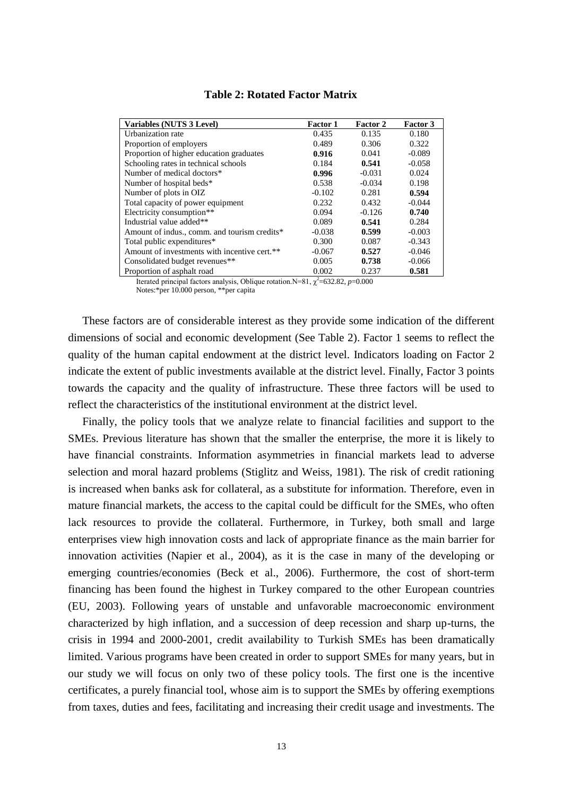| Variables (NUTS 3 Level)                     | <b>Factor 1</b> | Factor 2 | <b>Factor 3</b> |
|----------------------------------------------|-----------------|----------|-----------------|
| Urbanization rate                            | 0.435           | 0.135    | 0.180           |
| Proportion of employers                      | 0.489           | 0.306    | 0.322           |
| Proportion of higher education graduates     | 0.916           | 0.041    | $-0.089$        |
| Schooling rates in technical schools         | 0.184           | 0.541    | $-0.058$        |
| Number of medical doctors*                   | 0.996           | $-0.031$ | 0.024           |
| Number of hospital beds*                     | 0.538           | $-0.034$ | 0.198           |
| Number of plots in OIZ                       | $-0.102$        | 0.281    | 0.594           |
| Total capacity of power equipment            | 0.232           | 0.432    | $-0.044$        |
| Electricity consumption**                    | 0.094           | $-0.126$ | 0.740           |
| Industrial value added**                     | 0.089           | 0.541    | 0.284           |
| Amount of indus., comm. and tourism credits* | $-0.038$        | 0.599    | $-0.003$        |
| Total public expenditures*                   | 0.300           | 0.087    | $-0.343$        |
| Amount of investments with incentive cert.** | $-0.067$        | 0.527    | $-0.046$        |
| Consolidated budget revenues**               | 0.005           | 0.738    | $-0.066$        |
| Proportion of asphalt road                   | 0.002           | 0.237    | 0.581           |

# **Table 2: Rotated Factor Matrix**

Iterated principal factors analysis, Oblique rotation.  $N=81$ ,  $\chi^2=632.82$ ,  $p=0.000$ Notes:\*per 10.000 person, \*\*per capita

These factors are of considerable interest as they provide some indication of the different dimensions of social and economic development (See Table 2). Factor 1 seems to reflect the quality of the human capital endowment at the district level. Indicators loading on Factor 2 indicate the extent of public investments available at the district level. Finally, Factor 3 points towards the capacity and the quality of infrastructure. These three factors will be used to reflect the characteristics of the institutional environment at the district level.

Finally, the policy tools that we analyze relate to financial facilities and support to the SMEs. Previous literature has shown that the smaller the enterprise, the more it is likely to have financial constraints. Information asymmetries in financial markets lead to adverse selection and moral hazard problems (Stiglitz and Weiss, 1981). The risk of credit rationing is increased when banks ask for collateral, as a substitute for information. Therefore, even in mature financial markets, the access to the capital could be difficult for the SMEs, who often lack resources to provide the collateral. Furthermore, in Turkey, both small and large enterprises view high innovation costs and lack of appropriate finance as the main barrier for innovation activities (Napier et al., 2004), as it is the case in many of the developing or emerging countries/economies (Beck et al., 2006). Furthermore, the cost of short-term financing has been found the highest in Turkey compared to the other European countries (EU, 2003). Following years of unstable and unfavorable macroeconomic environment characterized by high inflation, and a succession of deep recession and sharp up-turns, the crisis in 1994 and 2000-2001, credit availability to Turkish SMEs has been dramatically limited. Various programs have been created in order to support SMEs for many years, but in our study we will focus on only two of these policy tools. The first one is the incentive certificates, a purely financial tool, whose aim is to support the SMEs by offering exemptions from taxes, duties and fees, facilitating and increasing their credit usage and investments. The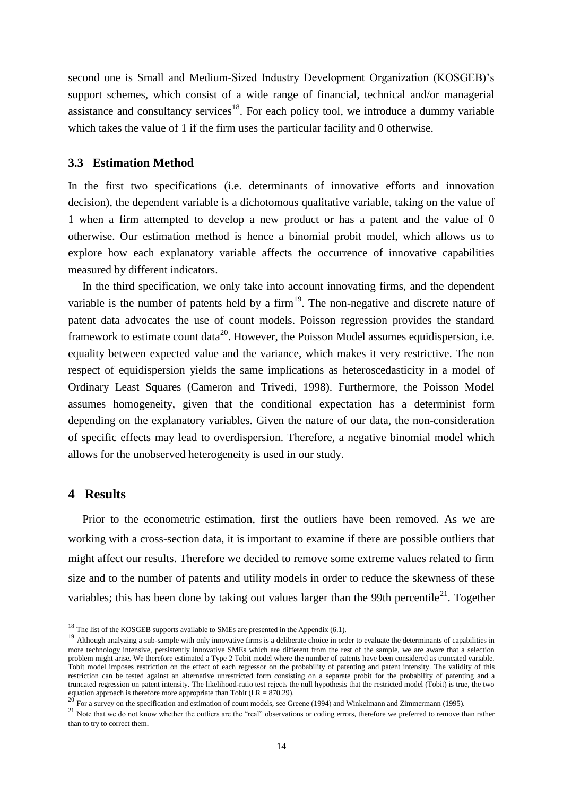second one is Small and Medium-Sized Industry Development Organization (KOSGEB)'s support schemes, which consist of a wide range of financial, technical and/or managerial assistance and consultancy services<sup>18</sup>. For each policy tool, we introduce a dummy variable which takes the value of 1 if the firm uses the particular facility and 0 otherwise.

### **3.3 Estimation Method**

In the first two specifications (i.e. determinants of innovative efforts and innovation decision), the dependent variable is a dichotomous qualitative variable, taking on the value of 1 when a firm attempted to develop a new product or has a patent and the value of 0 otherwise. Our estimation method is hence a binomial probit model, which allows us to explore how each explanatory variable affects the occurrence of innovative capabilities measured by different indicators.

In the third specification, we only take into account innovating firms, and the dependent variable is the number of patents held by a firm $19$ . The non-negative and discrete nature of patent data advocates the use of count models. Poisson regression provides the standard framework to estimate count data<sup>20</sup>. However, the Poisson Model assumes equidispersion, i.e. equality between expected value and the variance, which makes it very restrictive. The non respect of equidispersion yields the same implications as heteroscedasticity in a model of Ordinary Least Squares (Cameron and Trivedi, 1998). Furthermore, the Poisson Model assumes homogeneity, given that the conditional expectation has a determinist form depending on the explanatory variables. Given the nature of our data, the non-consideration of specific effects may lead to overdispersion. Therefore, a negative binomial model which allows for the unobserved heterogeneity is used in our study.

# **4 Results**

-

Prior to the econometric estimation, first the outliers have been removed. As we are working with a cross-section data, it is important to examine if there are possible outliers that might affect our results. Therefore we decided to remove some extreme values related to firm size and to the number of patents and utility models in order to reduce the skewness of these variables; this has been done by taking out values larger than the 99th percentile<sup>21</sup>. Together

 $18$  The list of the KOSGEB supports available to SMEs are presented in the Appendix (6.1).

<sup>&</sup>lt;sup>19</sup> Although analyzing a sub-sample with only innovative firms is a deliberate choice in order to evaluate the determinants of capabilities in more technology intensive, persistently innovative SMEs which are different from the rest of the sample, we are aware that a selection problem might arise. We therefore estimated a Type 2 Tobit model where the number of patents have been considered as truncated variable. Tobit model imposes restriction on the effect of each regressor on the probability of patenting and patent intensity. The validity of this restriction can be tested against an alternative unrestricted form consisting on a separate probit for the probability of patenting and a truncated regression on patent intensity. The likelihood-ratio test rejects the null hypothesis that the restricted model (Tobit) is true, the two equation approach is therefore more appropriate than Tobit ( $LR = 870.29$ ).

<sup>&</sup>lt;sup>20</sup> For a survey on the specification and estimation of count models, see Greene (1994) and Winkelmann and Zimmermann (1995).

<sup>&</sup>lt;sup>21</sup> Note that we do not know whether the outliers are the "real" observations or coding errors, therefore we preferred to remove than rather than to try to correct them.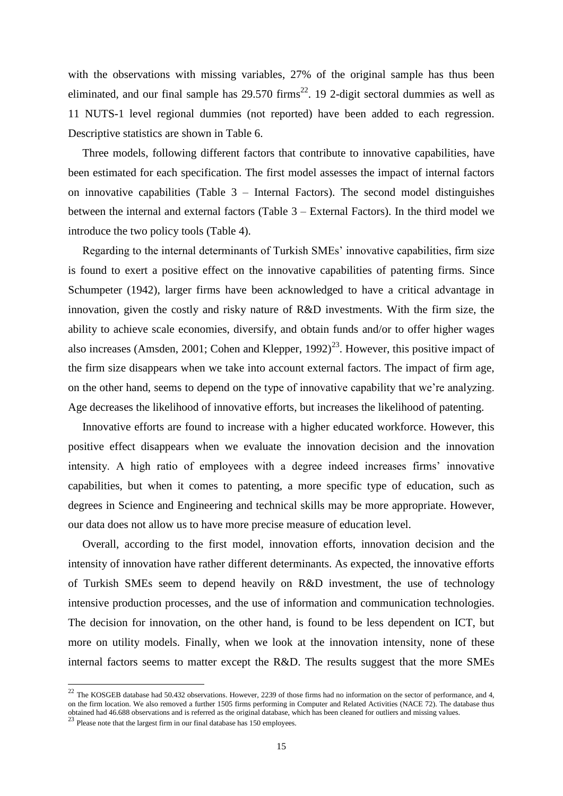with the observations with missing variables, 27% of the original sample has thus been eliminated, and our final sample has  $29.570$  firms<sup>22</sup>. 19 2-digit sectoral dummies as well as 11 NUTS-1 level regional dummies (not reported) have been added to each regression. Descriptive statistics are shown in Table 6.

Three models, following different factors that contribute to innovative capabilities, have been estimated for each specification. The first model assesses the impact of internal factors on innovative capabilities (Table 3 – Internal Factors). The second model distinguishes between the internal and external factors (Table 3 – External Factors). In the third model we introduce the two policy tools (Table 4).

Regarding to the internal determinants of Turkish SMEs' innovative capabilities, firm size is found to exert a positive effect on the innovative capabilities of patenting firms. Since Schumpeter (1942), larger firms have been acknowledged to have a critical advantage in innovation, given the costly and risky nature of R&D investments. With the firm size, the ability to achieve scale economies, diversify, and obtain funds and/or to offer higher wages also increases (Amsden, 2001; Cohen and Klepper,  $1992)^{23}$ . However, this positive impact of the firm size disappears when we take into account external factors. The impact of firm age, on the other hand, seems to depend on the type of innovative capability that we're analyzing. Age decreases the likelihood of innovative efforts, but increases the likelihood of patenting.

Innovative efforts are found to increase with a higher educated workforce. However, this positive effect disappears when we evaluate the innovation decision and the innovation intensity. A high ratio of employees with a degree indeed increases firms' innovative capabilities, but when it comes to patenting, a more specific type of education, such as degrees in Science and Engineering and technical skills may be more appropriate. However, our data does not allow us to have more precise measure of education level.

Overall, according to the first model, innovation efforts, innovation decision and the intensity of innovation have rather different determinants. As expected, the innovative efforts of Turkish SMEs seem to depend heavily on R&D investment, the use of technology intensive production processes, and the use of information and communication technologies. The decision for innovation, on the other hand, is found to be less dependent on ICT, but more on utility models. Finally, when we look at the innovation intensity, none of these internal factors seems to matter except the R&D. The results suggest that the more SMEs

-

 $^{22}$  The KOSGEB database had 50.432 observations. However, 2239 of those firms had no information on the sector of performance, and 4, on the firm location. We also removed a further 1505 firms performing in Computer and Related Activities (NACE 72). The database thus obtained had 46.688 observations and is referred as the original database, which has been cleaned for outliers and missing values.<br><sup>23</sup> Please note that the largest firm in our final database has 150 employees.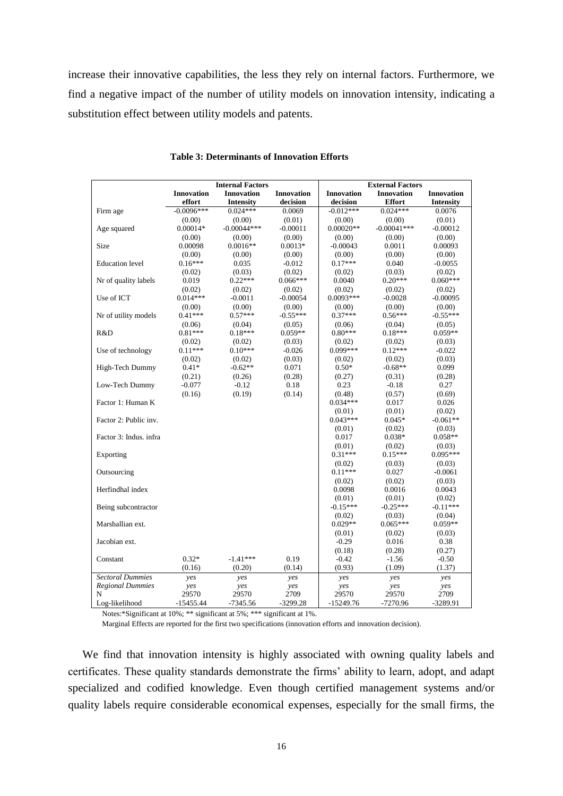increase their innovative capabilities, the less they rely on internal factors. Furthermore, we find a negative impact of the number of utility models on innovation intensity, indicating a substitution effect between utility models and patents.

|                         |                   | <b>Internal Factors</b> |                   |                   | <b>External Factors</b> |                   |
|-------------------------|-------------------|-------------------------|-------------------|-------------------|-------------------------|-------------------|
|                         | <b>Innovation</b> | <b>Innovation</b>       | <b>Innovation</b> | <b>Innovation</b> | <b>Innovation</b>       | <b>Innovation</b> |
|                         | effort            | <b>Intensity</b>        | decision          | decision          | <b>Effort</b>           | <b>Intensity</b>  |
| Firm age                | $-0.0096***$      | $0.024***$              | 0.0069            | $-0.012***$       | $0.024***$              | 0.0076            |
|                         | (0.00)            | (0.00)                  | (0.01)            | (0.00)            | (0.00)                  | (0.01)            |
| Age squared             | $0.00014*$        | $-0.00044***$           | $-0.00011$        | $0.00020**$       | $-0.00041***$           | $-0.00012$        |
|                         | (0.00)            | (0.00)                  | (0.00)            | (0.00)            | (0.00)                  | (0.00)            |
| Size                    | 0.00098           | $0.0016**$              | $0.0013*$         | $-0.00043$        | 0.0011                  | 0.00093           |
|                         | (0.00)            | (0.00)                  | (0.00)            | (0.00)            | (0.00)                  | (0.00)            |
| <b>Education</b> level  | $0.16***$         | 0.035                   | $-0.012$          | $0.17***$         | 0.040                   | $-0.0055$         |
|                         | (0.02)            | (0.03)                  | (0.02)            | (0.02)            | (0.03)                  | (0.02)            |
| Nr of quality labels    | 0.019             | $0.22***$               | $0.066***$        | 0.0040            | $0.20***$               | $0.060***$        |
|                         | (0.02)            | (0.02)                  | (0.02)            | (0.02)            | (0.02)                  | (0.02)            |
| Use of ICT              | $0.014***$        | $-0.0011$               | $-0.00054$        | $0.0093***$       | $-0.0028$               | $-0.00095$        |
|                         | (0.00)            | (0.00)                  | (0.00)            | (0.00)            | (0.00)                  | (0.00)            |
| Nr of utility models    | $0.41***$         | $0.57***$               | $-0.55***$        | $0.37***$         | $0.56***$               | $-0.55***$        |
|                         | (0.06)            | (0.04)                  | (0.05)            | (0.06)            | (0.04)                  | (0.05)            |
| R&D                     | $0.81***$         | $0.18***$               | $0.059**$         | $0.80***$         | $0.18***$               | $0.059**$         |
|                         | (0.02)            | (0.02)                  | (0.03)            | (0.02)            | (0.02)                  | (0.03)            |
| Use of technology       | $0.11***$         | $0.10***$               | $-0.026$          | $0.099***$        | $0.12***$               | $-0.022$          |
|                         | (0.02)            | (0.02)                  | (0.03)            | (0.02)            | (0.02)                  | (0.03)            |
| High-Tech Dummy         | $0.41*$           | $-0.62**$               | 0.071             | $0.50*$           | $-0.68**$               | 0.099             |
|                         | (0.21)            | (0.26)                  | (0.28)            | (0.27)            | (0.31)                  | (0.28)            |
| Low-Tech Dummy          | $-0.077$          | $-0.12$                 | 0.18              | 0.23              | $-0.18$                 | 0.27              |
|                         | (0.16)            | (0.19)                  | (0.14)            | (0.48)            | (0.57)                  | (0.69)            |
| Factor 1: Human K       |                   |                         |                   | $0.034***$        | 0.017                   | 0.026             |
|                         |                   |                         |                   | (0.01)            | (0.01)                  | (0.02)            |
| Factor 2: Public inv.   |                   |                         |                   | $0.043***$        | $0.045*$                | $-0.061**$        |
|                         |                   |                         |                   | (0.01)            | (0.02)                  | (0.03)            |
| Factor 3: Indus. infra  |                   |                         |                   | 0.017             | $0.038*$                | $0.058**$         |
|                         |                   |                         |                   | (0.01)            | (0.02)                  | (0.03)            |
| Exporting               |                   |                         |                   | $0.31***$         | $0.15***$               | $0.095***$        |
|                         |                   |                         |                   | (0.02)            | (0.03)                  | (0.03)            |
| Outsourcing             |                   |                         |                   | $0.11***$         | 0.027                   | $-0.0061$         |
|                         |                   |                         |                   | (0.02)            | (0.02)                  | (0.03)            |
| Herfindhal index        |                   |                         |                   | 0.0098            | 0.0016                  | 0.0043            |
|                         |                   |                         |                   | (0.01)            | (0.01)                  | (0.02)            |
| Being subcontractor     |                   |                         |                   | $-0.15***$        | $-0.25***$              | $-0.11***$        |
|                         |                   |                         |                   | (0.02)            | (0.03)                  | (0.04)            |
| Marshallian ext.        |                   |                         |                   | $0.029**$         | $0.065***$              | $0.059**$         |
|                         |                   |                         |                   | (0.01)            | (0.02)                  | (0.03)            |
| Jacobian ext.           |                   |                         |                   | $-0.29$           | 0.016                   | 0.38              |
|                         |                   |                         |                   | (0.18)            | (0.28)                  | (0.27)            |
| Constant                | $0.32*$           | $-1.41***$              | 0.19              | $-0.42$           | $-1.56$                 | $-0.50$           |
|                         | (0.16)            | (0.20)                  | (0.14)            | (0.93)            | (1.09)                  | (1.37)            |
| <b>Sectoral Dummies</b> | yes               | yes                     | yes               | yes               | yes                     | yes               |
| <b>Regional Dummies</b> | yes               | yes                     | yes               | yes               | yes                     | yes               |
| N                       | 29570             | 29570                   | 2709              | 29570             | 29570                   | 2709              |
| Log-likelihood          | $-15455.44$       | $-7345.56$              | $-3299.28$        | $-15249.76$       | $-7270.96$              | $-3289.91$        |

**Table 3: Determinants of Innovation Efforts**

Notes:\*Significant at 10%; \*\* significant at 5%; \*\*\* significant at 1%.

Marginal Effects are reported for the first two specifications (innovation efforts and innovation decision).

We find that innovation intensity is highly associated with owning quality labels and certificates. These quality standards demonstrate the firms' ability to learn, adopt, and adapt specialized and codified knowledge. Even though certified management systems and/or quality labels require considerable economical expenses, especially for the small firms, the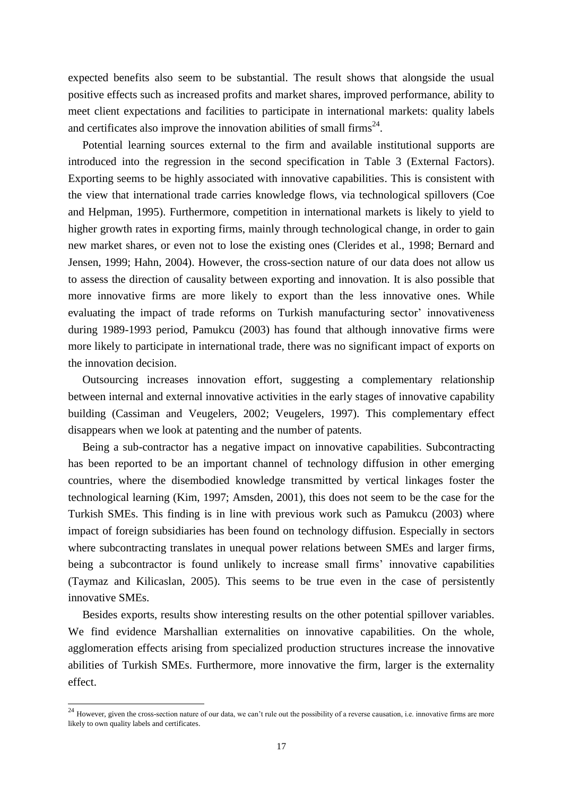expected benefits also seem to be substantial. The result shows that alongside the usual positive effects such as increased profits and market shares, improved performance, ability to meet client expectations and facilities to participate in international markets: quality labels and certificates also improve the innovation abilities of small firms<sup>24</sup>.

Potential learning sources external to the firm and available institutional supports are introduced into the regression in the second specification in Table 3 (External Factors). Exporting seems to be highly associated with innovative capabilities. This is consistent with the view that international trade carries knowledge flows, via technological spillovers (Coe and Helpman, 1995). Furthermore, competition in international markets is likely to yield to higher growth rates in exporting firms, mainly through technological change, in order to gain new market shares, or even not to lose the existing ones (Clerides et al., 1998; Bernard and Jensen, 1999; Hahn, 2004). However, the cross-section nature of our data does not allow us to assess the direction of causality between exporting and innovation. It is also possible that more innovative firms are more likely to export than the less innovative ones. While evaluating the impact of trade reforms on Turkish manufacturing sector' innovativeness during 1989-1993 period, Pamukcu (2003) has found that although innovative firms were more likely to participate in international trade, there was no significant impact of exports on the innovation decision.

Outsourcing increases innovation effort, suggesting a complementary relationship between internal and external innovative activities in the early stages of innovative capability building (Cassiman and Veugelers, 2002; Veugelers, 1997). This complementary effect disappears when we look at patenting and the number of patents.

Being a sub-contractor has a negative impact on innovative capabilities. Subcontracting has been reported to be an important channel of technology diffusion in other emerging countries, where the disembodied knowledge transmitted by vertical linkages foster the technological learning (Kim, 1997; Amsden, 2001), this does not seem to be the case for the Turkish SMEs. This finding is in line with previous work such as Pamukcu (2003) where impact of foreign subsidiaries has been found on technology diffusion. Especially in sectors where subcontracting translates in unequal power relations between SMEs and larger firms, being a subcontractor is found unlikely to increase small firms' innovative capabilities (Taymaz and Kilicaslan, 2005). This seems to be true even in the case of persistently innovative SMEs.

Besides exports, results show interesting results on the other potential spillover variables. We find evidence Marshallian externalities on innovative capabilities. On the whole, agglomeration effects arising from specialized production structures increase the innovative abilities of Turkish SMEs. Furthermore, more innovative the firm, larger is the externality effect.

1

 $^{24}$  However, given the cross-section nature of our data, we can't rule out the possibility of a reverse causation, i.e. innovative firms are more likely to own quality labels and certificates.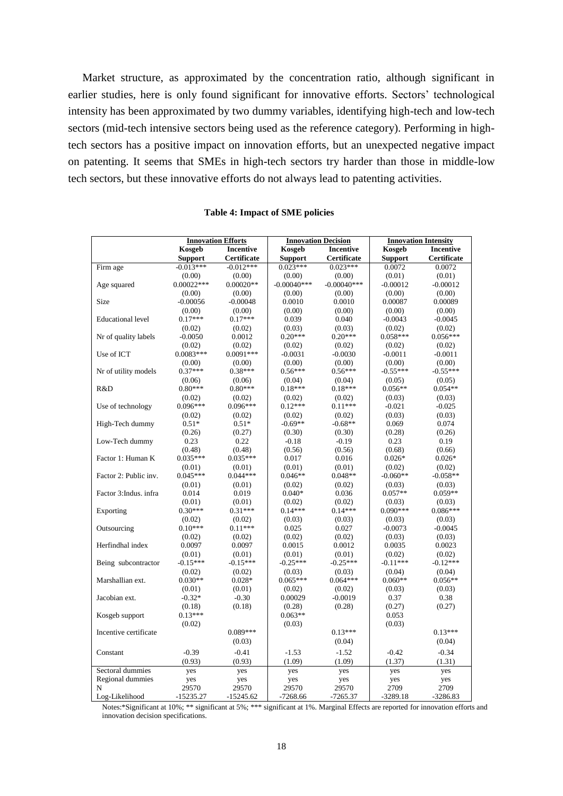Market structure, as approximated by the concentration ratio, although significant in earlier studies, here is only found significant for innovative efforts. Sectors' technological intensity has been approximated by two dummy variables, identifying high-tech and low-tech sectors (mid-tech intensive sectors being used as the reference category). Performing in hightech sectors has a positive impact on innovation efforts, but an unexpected negative impact on patenting. It seems that SMEs in high-tech sectors try harder than those in middle-low tech sectors, but these innovative efforts do not always lead to patenting activities.

|                          | <b>Innovation Efforts</b> |                  |                | <b>Innovation Decision</b> | <b>Innovation Intensity</b> |                                 |  |  |  |
|--------------------------|---------------------------|------------------|----------------|----------------------------|-----------------------------|---------------------------------|--|--|--|
|                          | Kosgeb                    | <b>Incentive</b> | Kosgeb         | <b>Incentive</b>           | Kosgeb                      | <b>Incentive</b><br>Certificate |  |  |  |
|                          | <b>Support</b>            | Certificate      | <b>Support</b> | Certificate                | <b>Support</b>              |                                 |  |  |  |
| Firm age                 | $-0.013***$               | $-0.012***$      | $0.023***$     | $0.023***$                 | 0.0072                      | 0.0072                          |  |  |  |
|                          | (0.00)                    | (0.00)           | (0.00)         | (0.00)                     | (0.01)                      | (0.01)                          |  |  |  |
| Age squared              | $0.00022***$              | $0.00020**$      | $-0.00040$ *** | $-0.00040***$              | $-0.00012$                  | $-0.00012$                      |  |  |  |
|                          | (0.00)                    | (0.00)           | (0.00)         | (0.00)                     | (0.00)                      | (0.00)                          |  |  |  |
| Size                     | $-0.00056$                | $-0.00048$       | 0.0010         | 0.0010                     | 0.00087                     | 0.00089                         |  |  |  |
|                          | (0.00)                    | (0.00)           | (0.00)         | (0.00)                     | (0.00)                      | (0.00)                          |  |  |  |
| <b>Educational</b> level | $0.17***$                 | $0.17***$        | 0.039          | 0.040                      | $-0.0043$                   | $-0.0045$                       |  |  |  |
|                          | (0.02)                    | (0.02)           | (0.03)         | (0.03)                     | (0.02)                      | (0.02)                          |  |  |  |
| Nr of quality labels     | $-0.0050$                 | 0.0012           | $0.20***$      | $0.20***$                  | $0.058***$                  | $0.056***$                      |  |  |  |
|                          | (0.02)                    | (0.02)           | (0.02)         | (0.02)                     | (0.02)                      | (0.02)                          |  |  |  |
| Use of ICT               | $0.0083***$               | $0.0091***$      | $-0.0031$      | $-0.0030$                  | $-0.0011$                   | $-0.0011$                       |  |  |  |
|                          | (0.00)                    | (0.00)           | (0.00)         | (0.00)                     | (0.00)                      | (0.00)                          |  |  |  |
| Nr of utility models     | $0.37***$                 | $0.38***$        | $0.56***$      | $0.56***$                  | $-0.55***$                  | $-0.55***$                      |  |  |  |
|                          | (0.06)                    | (0.06)           | (0.04)         | (0.04)                     | (0.05)                      | (0.05)                          |  |  |  |
| R&D                      | $0.80***$                 | $0.80***$        | $0.18***$      | $0.18***$                  | $0.056**$                   | $0.054**$                       |  |  |  |
|                          | (0.02)                    | (0.02)           | (0.02)         | (0.02)                     | (0.03)                      | (0.03)                          |  |  |  |
| Use of technology        | $0.096***$                | $0.096***$       | $0.12***$      | $0.11***$                  | $-0.021$                    | $-0.025$                        |  |  |  |
|                          | (0.02)                    | (0.02)           | (0.02)         | (0.02)                     | (0.03)                      | (0.03)                          |  |  |  |
| High-Tech dummy          | $0.51*$                   | $0.51*$          | $-0.69**$      | $-0.68**$                  | 0.069                       | 0.074                           |  |  |  |
|                          | (0.26)                    | (0.27)           | (0.30)         | (0.30)                     | (0.28)                      | (0.26)                          |  |  |  |
| Low-Tech dummy           | 0.23                      | 0.22             | $-0.18$        | $-0.19$                    | 0.23                        | 0.19                            |  |  |  |
|                          | (0.48)                    | (0.48)           | (0.56)         | (0.56)                     | (0.68)                      | (0.66)                          |  |  |  |
| Factor 1: Human K        | $0.035***$                | $0.035***$       | 0.017          | 0.016                      | $0.026*$                    | $0.026*$                        |  |  |  |
|                          | (0.01)                    | (0.01)           | (0.01)         | (0.01)                     | (0.02)                      | (0.02)                          |  |  |  |
| Factor 2: Public inv.    | $0.045***$                | $0.044***$       | $0.046**$      | $0.048**$                  | $-0.060**$                  | $-0.058**$                      |  |  |  |
|                          | (0.01)                    | (0.01)           | (0.02)         | (0.02)                     | (0.03)                      | (0.03)                          |  |  |  |
| Factor 3: Indus. infra   | 0.014                     | 0.019            | $0.040*$       | 0.036                      | $0.057**$                   | $0.059**$                       |  |  |  |
|                          | (0.01)                    | (0.01)           | (0.02)         | (0.02)                     | (0.03)                      | (0.03)                          |  |  |  |
| Exporting                | $0.30***$                 | $0.31***$        | $0.14***$      | $0.14***$                  | $0.090***$                  | $0.086***$                      |  |  |  |
|                          | (0.02)                    | (0.02)           | (0.03)         | (0.03)                     | (0.03)                      | (0.03)                          |  |  |  |
| Outsourcing              | $0.10***$                 | $0.11***$        | 0.025          | 0.027                      | $-0.0073$                   | $-0.0045$                       |  |  |  |
|                          | (0.02)                    | (0.02)           | (0.02)         | (0.02)                     | (0.03)                      | (0.03)                          |  |  |  |
| Herfindhal index         | 0.0097                    | 0.0097           | 0.0015         | 0.0012                     | 0.0035                      | 0.0023                          |  |  |  |
|                          | (0.01)                    | (0.01)           | (0.01)         | (0.01)                     | (0.02)                      | (0.02)                          |  |  |  |
| Being subcontractor      | $-0.15***$                | $-0.15***$       | $-0.25***$     | $-0.25***$                 | $-0.11***$                  | $-0.12***$                      |  |  |  |
|                          | (0.02)                    | (0.02)           | (0.03)         | (0.03)                     | (0.04)                      | (0.04)                          |  |  |  |
| Marshallian ext.         | $0.030**$                 | $0.028*$         | $0.065***$     | $0.064***$                 | $0.060**$                   | $0.056**$                       |  |  |  |
|                          | (0.01)                    | (0.01)           | (0.02)         | (0.02)                     | (0.03)                      | (0.03)                          |  |  |  |
| Jacobian ext.            | $-0.32*$                  | $-0.30$          | 0.00029        | $-0.0019$                  | 0.37                        | 0.38                            |  |  |  |
|                          | (0.18)                    | (0.18)           | (0.28)         | (0.28)                     | (0.27)                      | (0.27)                          |  |  |  |
| Kosgeb support           | $0.13***$                 |                  | $0.063**$      |                            | 0.053                       |                                 |  |  |  |
|                          | (0.02)                    |                  | (0.03)         |                            | (0.03)                      |                                 |  |  |  |
| Incentive certificate    |                           | $0.089***$       |                | $0.13***$                  |                             | $0.13***$                       |  |  |  |
|                          |                           | (0.03)           |                | (0.04)                     |                             | (0.04)                          |  |  |  |
| Constant                 | $-0.39$                   | $-0.41$          | $-1.53$        | $-1.52$                    | $-0.42$                     | $-0.34$                         |  |  |  |
|                          | (0.93)                    | (0.93)           | (1.09)         | (1.09)                     | (1.37)                      | (1.31)                          |  |  |  |
| Sectoral dummies         | yes                       | yes              | yes            | yes                        | yes                         | yes                             |  |  |  |
| Regional dummies         | yes                       | yes              | yes            | yes                        | yes                         | yes                             |  |  |  |
| N                        | 29570                     | 29570            | 29570          | 29570                      | 2709                        | 2709                            |  |  |  |
| Log-Likelihood           | $-15235.27$               | $-15245.62$      | $-7268.66$     | $-7265.37$                 | $-3289.18$                  | $-3286.83$                      |  |  |  |

#### **Table 4: Impact of SME policies**

Notes:\*Significant at 10%; \*\* significant at 5%; \*\*\* significant at 1%. Marginal Effects are reported for innovation efforts and innovation decision specifications.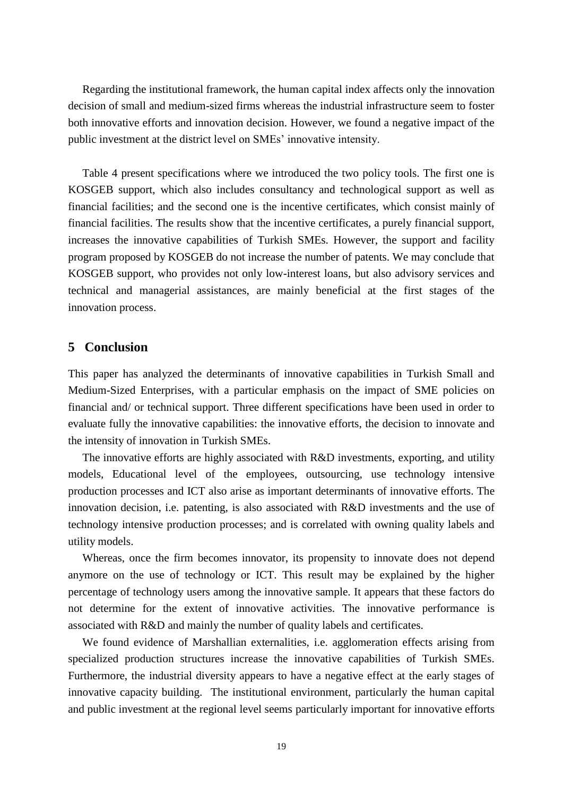Regarding the institutional framework, the human capital index affects only the innovation decision of small and medium-sized firms whereas the industrial infrastructure seem to foster both innovative efforts and innovation decision. However, we found a negative impact of the public investment at the district level on SMEs' innovative intensity.

Table 4 present specifications where we introduced the two policy tools. The first one is KOSGEB support, which also includes consultancy and technological support as well as financial facilities; and the second one is the incentive certificates, which consist mainly of financial facilities. The results show that the incentive certificates, a purely financial support, increases the innovative capabilities of Turkish SMEs. However, the support and facility program proposed by KOSGEB do not increase the number of patents. We may conclude that KOSGEB support, who provides not only low-interest loans, but also advisory services and technical and managerial assistances, are mainly beneficial at the first stages of the innovation process.

# **5 Conclusion**

This paper has analyzed the determinants of innovative capabilities in Turkish Small and Medium-Sized Enterprises, with a particular emphasis on the impact of SME policies on financial and/ or technical support. Three different specifications have been used in order to evaluate fully the innovative capabilities: the innovative efforts, the decision to innovate and the intensity of innovation in Turkish SMEs.

The innovative efforts are highly associated with R&D investments, exporting, and utility models, Educational level of the employees, outsourcing, use technology intensive production processes and ICT also arise as important determinants of innovative efforts. The innovation decision, i.e. patenting, is also associated with R&D investments and the use of technology intensive production processes; and is correlated with owning quality labels and utility models.

Whereas, once the firm becomes innovator, its propensity to innovate does not depend anymore on the use of technology or ICT. This result may be explained by the higher percentage of technology users among the innovative sample. It appears that these factors do not determine for the extent of innovative activities. The innovative performance is associated with R&D and mainly the number of quality labels and certificates.

We found evidence of Marshallian externalities, i.e. agglomeration effects arising from specialized production structures increase the innovative capabilities of Turkish SMEs. Furthermore, the industrial diversity appears to have a negative effect at the early stages of innovative capacity building. The institutional environment, particularly the human capital and public investment at the regional level seems particularly important for innovative efforts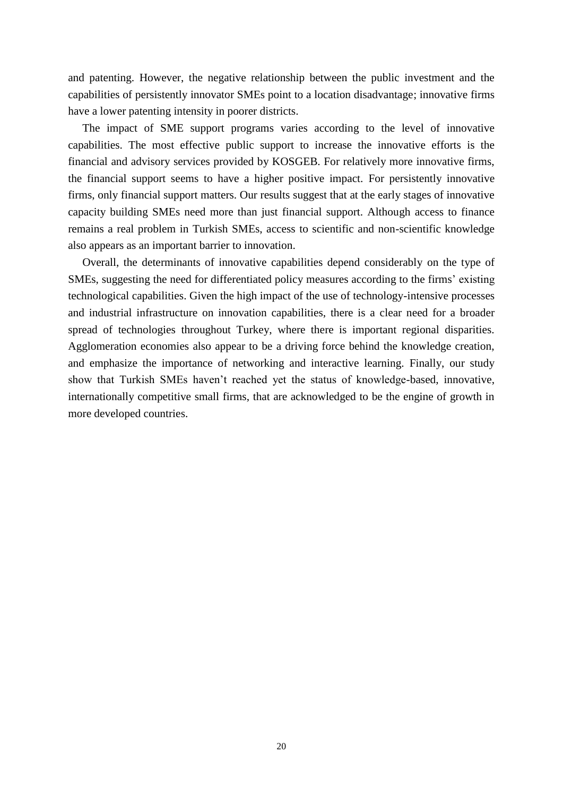and patenting. However, the negative relationship between the public investment and the capabilities of persistently innovator SMEs point to a location disadvantage; innovative firms have a lower patenting intensity in poorer districts.

The impact of SME support programs varies according to the level of innovative capabilities. The most effective public support to increase the innovative efforts is the financial and advisory services provided by KOSGEB. For relatively more innovative firms, the financial support seems to have a higher positive impact. For persistently innovative firms, only financial support matters. Our results suggest that at the early stages of innovative capacity building SMEs need more than just financial support. Although access to finance remains a real problem in Turkish SMEs, access to scientific and non-scientific knowledge also appears as an important barrier to innovation.

Overall, the determinants of innovative capabilities depend considerably on the type of SMEs, suggesting the need for differentiated policy measures according to the firms' existing technological capabilities. Given the high impact of the use of technology-intensive processes and industrial infrastructure on innovation capabilities, there is a clear need for a broader spread of technologies throughout Turkey, where there is important regional disparities. Agglomeration economies also appear to be a driving force behind the knowledge creation, and emphasize the importance of networking and interactive learning. Finally, our study show that Turkish SMEs haven't reached yet the status of knowledge-based, innovative, internationally competitive small firms, that are acknowledged to be the engine of growth in more developed countries.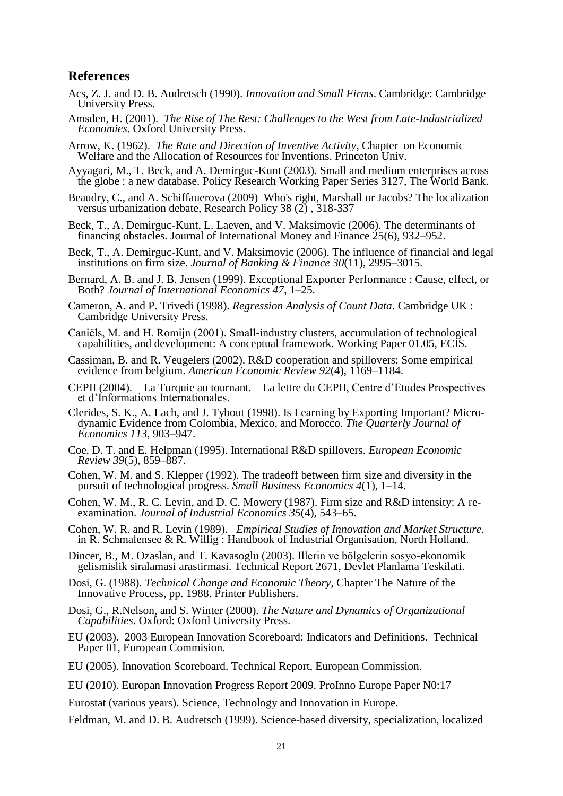### **References**

- Acs, Z. J. and D. B. Audretsch (1990). *Innovation and Small Firms*. Cambridge: Cambridge University Press.
- Amsden, H. (2001). *The Rise of The Rest: Challenges to the West from Late-Industrialized Economies*. Oxford University Press.
- Arrow, K. (1962). *The Rate and Direction of Inventive Activity*, Chapter on Economic Welfare and the Allocation of Resources for Inventions. Princeton Univ.
- Ayyagari, M., T. Beck, and A. Demirguc-Kunt (2003). Small and medium enterprises across the globe : a new database. Policy Research Working Paper Series 3127, The World Bank.
- Beaudry, C., and A. Schiffauerova (2009) Who's right, Marshall or Jacobs? The localization versus urbanization debate, Research Policy 38 (2) , 318-337
- Beck, T., A. Demirguc-Kunt, L. Laeven, and V. Maksimovic (2006). The determinants of financing obstacles. Journal of International Money and Finance 25(6), 932–952.
- Beck, T., A. Demirguc-Kunt, and V. Maksimovic (2006). The influence of financial and legal institutions on firm size. *Journal of Banking & Finance 30*(11), 2995–3015.
- Bernard, A. B. and J. B. Jensen (1999). Exceptional Exporter Performance : Cause, effect, or Both? *Journal of International Economics 47*, 1–25.
- Cameron, A. and P. Trivedi (1998). *Regression Analysis of Count Data*. Cambridge UK : Cambridge University Press.
- Caniëls, M. and H. Romijn (2001). Small-industry clusters, accumulation of technological capabilities, and development: A conceptual framework. Working Paper 01.05, ECIS.
- Cassiman, B. and R. Veugelers (2002). R&D cooperation and spillovers: Some empirical evidence from belgium. *American Economic Review 92*(4), 1169–1184.
- CEPII (2004). La Turquie au tournant. La lettre du CEPII, Centre d'Etudes Prospectives et d'Informations Internationales.
- Clerides, S. K., A. Lach, and J. Tybout (1998). Is Learning by Exporting Important? Microdynamic Evidence from Colombia, Mexico, and Morocco. *The Quarterly Journal of Economics 113*, 903–947.
- Coe, D. T. and E. Helpman (1995). International R&D spillovers. *European Economic Review 39*(5), 859–887.
- Cohen, W. M. and S. Klepper (1992). The tradeoff between firm size and diversity in the pursuit of technological progress. *Small Business Economics 4*(1), 1–14.
- Cohen, W. M., R. C. Levin, and D. C. Mowery (1987). Firm size and R&D intensity: A reexamination. *Journal of Industrial Economics 35*(4), 543–65.
- Cohen, W. R. and R. Levin (1989). *Empirical Studies of Innovation and Market Structure*. in R. Schmalensee & R. Willig : Handbook of Industrial Organisation, North Holland.
- Dincer, B., M. Ozaslan, and T. Kavasoglu (2003). Illerin ve bölgelerin sosyo-ekonomik gelismislik siralamasi arastirmasi. Technical Report 2671, Devlet Planlama Teskilati.
- Dosi, G. (1988). *Technical Change and Economic Theory*, Chapter The Nature of the Innovative Process, pp. 1988. Printer Publishers.
- Dosi, G., R.Nelson, and S. Winter (2000). *The Nature and Dynamics of Organizational Capabilities*. Oxford: Oxford University Press.
- EU (2003). 2003 European Innovation Scoreboard: Indicators and Definitions. Technical Paper 01, European Commision.
- EU (2005). Innovation Scoreboard. Technical Report, European Commission.
- EU (2010). Europan Innovation Progress Report 2009. ProInno Europe Paper N0:17
- Eurostat (various years). [Science, Technology and Innovation in Europe.](http://epp.eurostat.ec.europa.eu/cache/ITY_OFFPUB/KS-31-11-118/EN/KS-31-11-118-EN.PDF)
- Feldman, M. and D. B. Audretsch (1999). Science-based diversity, specialization, localized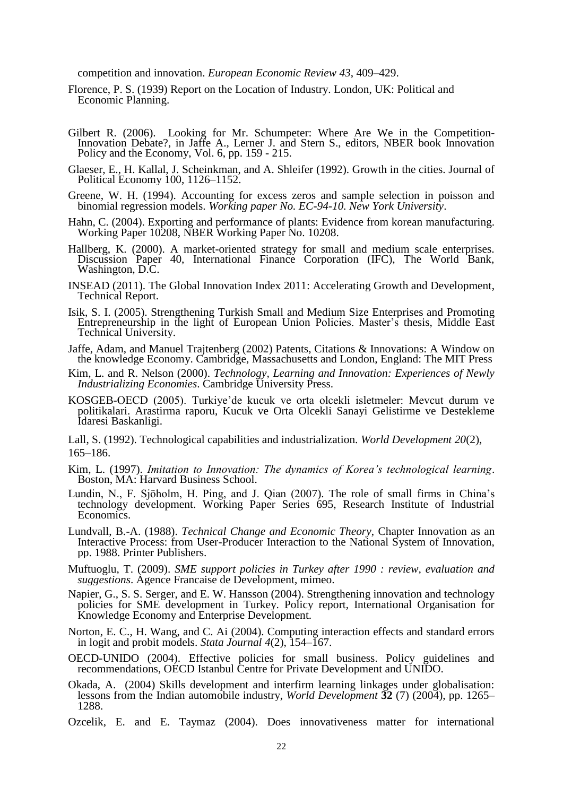competition and innovation. *European Economic Review 43*, 409–429.

- Florence, P. S. (1939) Report on the Location of Industry. London, UK: Political and Economic Planning.
- Gilbert R. (2006). Looking for Mr. Schumpeter: Where Are We in the Competition-Innovation Debate?, in Jaffe A., Lerner J. and Stern S., editors, NBER book Innovation Policy and the Economy, Vol. 6, pp. 159 - 215.
- Glaeser, E., H. Kallal, J. Scheinkman, and A. Shleifer (1992). Growth in the cities. Journal of Political Economy 100, 1126–1152.
- Greene, W. H. (1994). Accounting for excess zeros and sample selection in poisson and binomial regression models. *Working paper No. EC-94-10. New York University*.
- Hahn, C. (2004). Exporting and performance of plants: Evidence from korean manufacturing. Working Paper 10208, NBER Working Paper No. 10208.
- Hallberg, K. (2000). A market-oriented strategy for small and medium scale enterprises. Discussion Paper 40, International Finance Corporation (IFC), The World Bank, Washington, D.C.
- INSEAD (2011). The Global Innovation Index 2011: Accelerating Growth and Development, Technical Report.
- Isik, S. I. (2005). Strengthening Turkish Small and Medium Size Enterprises and Promoting Entrepreneurship in the light of European Union Policies. Master's thesis, Middle East Technical University.
- Jaffe, Adam, and Manuel Trajtenberg (2002) Patents, Citations & Innovations: A Window on the knowledge Economy. Cambridge, Massachusetts and London, England: The MIT Press
- Kim, L. and R. Nelson (2000). *Technology, Learning and Innovation: Experiences of Newly Industrializing Economies.* Cambridge University Press.
- KOSGEB-OECD (2005). Turkiye'de kucuk ve orta olcekli isletmeler: Mevcut durum ve politikalari. Arastirma raporu, Kucuk ve Orta Olcekli Sanayi Gelistirme ve Destekleme Idaresi Baskanligi.

Lall, S. (1992). Technological capabilities and industrialization. *World Development 20*(2), 165–186.

- Kim, L. (1997). *Imitation to Innovation: The dynamics of Korea's technological learning*. Boston, MA: Harvard Business School.
- Lundin, N., F. Sjöholm, H. Ping, and J. Qian (2007). The role of small firms in China's technology development. Working Paper Series 695, Research Institute of Industrial Economics.
- Lundvall, B.-A. (1988). *Technical Change and Economic Theory*, Chapter Innovation as an Interactive Process: from User-Producer Interaction to the National System of Innovation, pp. 1988. Printer Publishers.
- Muftuoglu, T. (2009). *SME support policies in Turkey after 1990 : review, evaluation and suggestions*. Agence Francaise de Development, mimeo.
- Napier, G., S. S. Serger, and E. W. Hansson (2004). Strengthening innovation and technology policies for SME development in Turkey. Policy report, International Organisation for Knowledge Economy and Enterprise Development.
- Norton, E. C., H. Wang, and C. Ai (2004). Computing interaction effects and standard errors in logit and probit models. *Stata Journal 4*(2), 154–167.
- OECD-UNIDO (2004). Effective policies for small business. Policy guidelines and recommendations, OECD Istanbul Centre for Private Development and UNIDO.
- [Okada, A. \(2004\)](http://www.sciencedirect.com/science/article/pii/S0166497210000714#bbib30) Skills development and interfirm learning linkages under globalisation: lessons from the Indian automobile industry, *World Development* **32** (7) (2004), pp. 1265– 1288.
- Ozcelik, E. and E. Taymaz (2004). Does innovativeness matter for international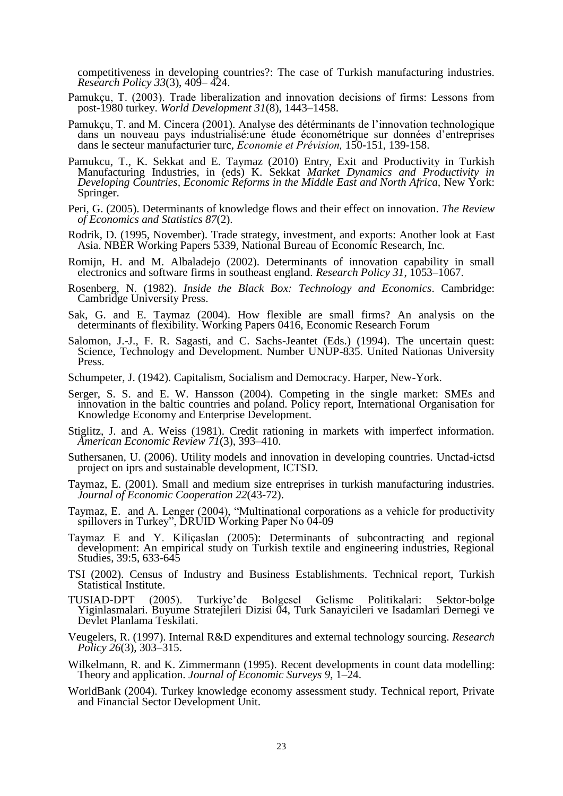competitiveness in developing countries?: The case of Turkish manufacturing industries. *Research Policy 33*(3), 409– 424.

- Pamukçu, T. (2003). Trade liberalization and innovation decisions of firms: Lessons from post-1980 turkey. *World Development 31*(8), 1443–1458.
- Pamukçu, T. and M. Cincera (2001). Analyse des détérminants de l'innovation technologique dans un nouveau pays industrialisé:une étude économétrique sur données d'entreprises dans le secteur manufacturier turc, *Economie et Prévision,* 150-151, 139-158.
- Pamukcu, T., K. Sekkat and E. Taymaz (2010) Entry, Exit and Productivity in Turkish Manufacturing Industries, in (eds) K. Sekkat *Market Dynamics and Productivity in Developing Countries, Economic Reforms in the Middle East and North Africa, New York:* Springer.
- Peri, G. (2005). Determinants of knowledge flows and their effect on innovation. *The Review of Economics and Statistics 87*(2).
- Rodrik, D. (1995, November). Trade strategy, investment, and exports: Another look at East Asia. NBER Working Papers 5339, National Bureau of Economic Research, Inc.
- Romijn, H. and M. Albaladejo (2002). Determinants of innovation capability in small electronics and software firms in southeast england. *Research Policy 31*, 1053–1067.
- Rosenberg, N. (1982). *Inside the Black Box: Technology and Economics*. Cambridge: Cambridge University Press.
- Sak, G. and E. Taymaz (2004). How flexible are small firms? An analysis on the determinants of flexibility. Working Papers 0416, Economic Research Forum
- Salomon, J.-J., F. R. Sagasti, and C. Sachs-Jeantet (Eds.) (1994). The uncertain quest: Science, Technology and Development. Number UNUP-835. United Nationas University Press.
- Schumpeter, J. (1942). Capitalism, Socialism and Democracy. Harper, New-York.
- Serger, S. S. and E. W. Hansson (2004). Competing in the single market: SMEs and innovation in the baltic countries and poland. Policy report, International Organisation for Knowledge Economy and Enterprise Development.
- Stiglitz, J. and A. Weiss (1981). Credit rationing in markets with imperfect information. *American Economic Review 71*(3), 393–410.
- Suthersanen, U. (2006). Utility models and innovation in developing countries. Unctad-ictsd project on iprs and sustainable development, ICTSD.
- Taymaz, E. (2001). Small and medium size entreprises in turkish manufacturing industries. *Journal of Economic Cooperation 22*(43-72).
- Taymaz, E. and A. Lenger (2004), "Multinational corporations as a vehicle for productivity spillovers in Turkey", DRUID Working Paper No 04-09
- Taymaz E and Y. Kiliçaslan (2005): Determinants of subcontracting and regional development: An empirical study on Turkish textile and engineering industries, Regional Studies, 39:5, 633-645
- TSI (2002). Census of Industry and Business Establishments. Technical report, Turkish Statistical Institute.
- TUSIAD-DPT (2005). Turkiye'de Bolgesel Gelisme Politikalari: Sektor-bolge Yiginlasmalari. Buyume Stratejileri Dizisi 04, Turk Sanayicileri ve Isadamlari Dernegi ve Devlet Planlama Teskilati.
- Veugelers, R. (1997). Internal R&D expenditures and external technology sourcing. *Research Policy 26*(3), 303–315.
- Wilkelmann, R. and K. Zimmermann (1995). Recent developments in count data modelling: Theory and application. *Journal of Economic Surveys 9*, 1–24.
- WorldBank (2004). Turkey knowledge economy assessment study. Technical report, Private and Financial Sector Development Unit.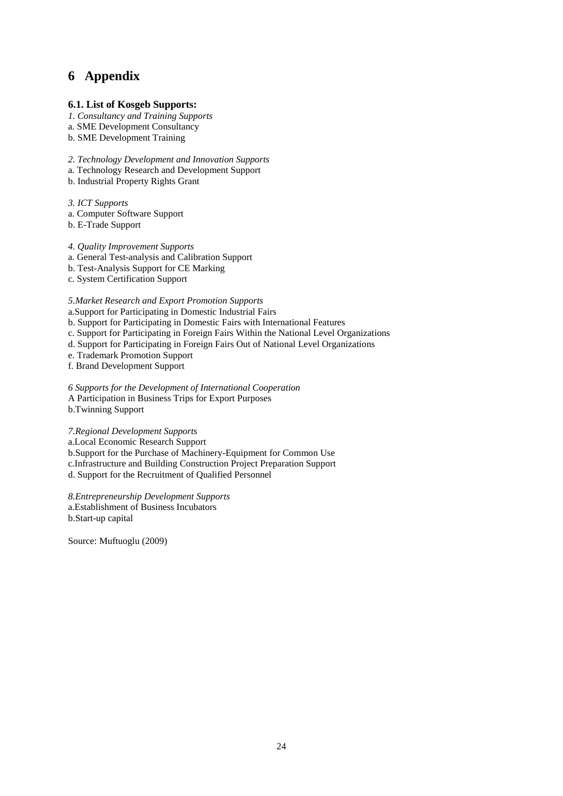# **6 Appendix**

#### **6.1. List of Kosgeb Supports:**

- *1. Consultancy and Training Supports*
- a. SME Development Consultancy
- b. SME Development Training

*2. Technology Development and Innovation Supports* 

- a. Technology Research and Development Support
- b. Industrial Property Rights Grant

*3. ICT Supports* 

- a. Computer Software Support
- b. E-Trade Support

#### *4. Quality Improvement Supports*

- a. General Test-analysis and Calibration Support
- b. Test-Analysis Support for CE Marking
- c. System Certification Support

*5.Market Research and Export Promotion Supports* 

a.Support for Participating in Domestic Industrial Fairs

- b. Support for Participating in Domestic Fairs with International Features
- c. Support for Participating in Foreign Fairs Within the National Level Organizations
- d. Support for Participating in Foreign Fairs Out of National Level Organizations

e. Trademark Promotion Support

f. Brand Development Support

*6 Supports for the Development of International Cooperation*  A Participation in Business Trips for Export Purposes

b.Twinning Support

*7.Regional Development Supports* 

a.Local Economic Research Support

b.Support for the Purchase of Machinery-Equipment for Common Use

c.Infrastructure and Building Construction Project Preparation Support

d. Support for the Recruitment of Qualified Personnel

*8.Entrepreneurship Development Supports*  a.Establishment of Business Incubators b.Start-up capital

Source: Muftuoglu (2009)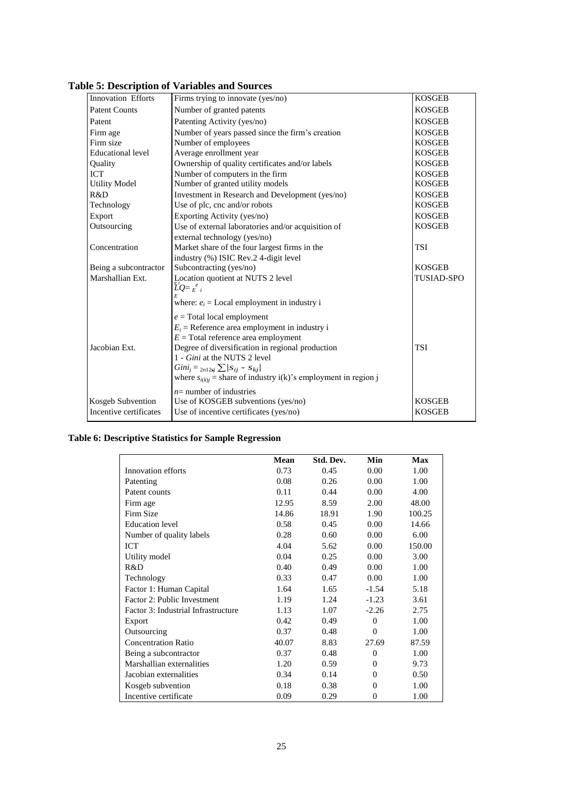| <b>Innovation Efforts</b> | Firms trying to innovate (yes/no)                                   | <b>KOSGEB</b>     |
|---------------------------|---------------------------------------------------------------------|-------------------|
| <b>Patent Counts</b>      | Number of granted patents                                           | <b>KOSGEB</b>     |
| Patent                    | Patenting Activity (yes/no)                                         | <b>KOSGEB</b>     |
| Firm age                  | Number of years passed since the firm's creation                    | <b>KOSGEB</b>     |
| Firm size                 | Number of employees                                                 | <b>KOSGEB</b>     |
| <b>Educational level</b>  | Average enrollment year                                             | <b>KOSGEB</b>     |
| Quality                   | Ownership of quality certificates and/or labels                     | <b>KOSGEB</b>     |
| <b>ICT</b>                | Number of computers in the firm                                     | <b>KOSGEB</b>     |
| <b>Utility Model</b>      | Number of granted utility models                                    | <b>KOSGEB</b>     |
| R&D                       | Investment in Research and Development (yes/no)                     | <b>KOSGEB</b>     |
| Technology                | Use of plc, cnc and/or robots                                       | <b>KOSGEB</b>     |
| Export                    | Exporting Activity (yes/no)                                         | <b>KOSGEB</b>     |
| Outsourcing               | Use of external laboratories and/or acquisition of                  | <b>KOSGEB</b>     |
|                           | external technology (yes/no)                                        |                   |
| Concentration             | Market share of the four largest firms in the                       | <b>TSI</b>        |
|                           | industry (%) ISIC Rev.2 4-digit level                               |                   |
| Being a subcontractor     | Subcontracting (yes/no)                                             | <b>KOSGEB</b>     |
| Marshallian Ext.          | Location quotient at NUTS 2 level                                   | <b>TUSIAD-SPO</b> |
|                           | $\tilde{L}Q = E_{\perp}^e$                                          |                   |
|                           | E<br>where: $e_i$ = Local employment in industry i                  |                   |
|                           | $e =$ Total local employment                                        |                   |
|                           | $E_i$ = Reference area employment in industry i                     |                   |
|                           | $E =$ Total reference area employment                               |                   |
| Jacobian Ext.             | Degree of diversification in regional production                    | <b>TSI</b>        |
|                           | 1 - <i>Gini</i> at the NUTS 2 level                                 |                   |
|                           | $Gini_i = \frac{2n12sj}{\sum} / S_{ij} - S_{ki} /$                  |                   |
|                           | where $s_{i(k)j}$ = share of industry i(k)'s employment in region j |                   |
|                           | $n=$ number of industries                                           |                   |
| Kosgeb Subvention         | Use of KOSGEB subventions (yes/no)                                  | <b>KOSGEB</b>     |
| Incentive certificates    | Use of incentive certificates (yes/no)                              | <b>KOSGEB</b>     |
|                           |                                                                     |                   |

**Table 5: Description of Variables and Sources**

### **Table 6: Descriptive Statistics for Sample Regression**

|                                     | <b>Mean</b> | Std. Dev. | Min      | <b>Max</b> |
|-------------------------------------|-------------|-----------|----------|------------|
| Innovation efforts                  | 0.73        | 0.45      | 0.00     | 1.00       |
| Patenting                           | 0.08        | 0.26      | 0.00     | 1.00       |
| Patent counts                       | 0.11        | 0.44      | 0.00     | 4.00       |
| Firm age                            | 12.95       | 8.59      | 2.00     | 48.00      |
| Firm Size                           | 14.86       | 18.91     | 1.90     | 100.25     |
| <b>Education</b> level              | 0.58        | 0.45      | 0.00     | 14.66      |
| Number of quality labels            | 0.28        | 0.60      | 0.00     | 6.00       |
| ICT                                 | 4.04        | 5.62      | 0.00     | 150.00     |
| Utility model                       | 0.04        | 0.25      | 0.00     | 3.00       |
| R&D                                 | 0.40        | 0.49      | 0.00     | 1.00       |
| Technology                          | 0.33        | 0.47      | 0.00     | 1.00       |
| Factor 1: Human Capital             | 1.64        | 1.65      | $-1.54$  | 5.18       |
| Factor 2: Public Investment         | 1.19        | 1.24      | $-1.23$  | 3.61       |
| Factor 3: Industrial Infrastructure | 1.13        | 1.07      | $-2.26$  | 2.75       |
| Export                              | 0.42        | 0.49      | $\Omega$ | 1.00       |
| Outsourcing                         | 0.37        | 0.48      | $\Omega$ | 1.00       |
| <b>Concentration Ratio</b>          | 40.07       | 8.83      | 27.69    | 87.59      |
| Being a subcontractor               | 0.37        | 0.48      | $\Omega$ | 1.00       |
| Marshallian externalities           | 1.20        | 0.59      | $\Omega$ | 9.73       |
| Jacobian externalities              | 0.34        | 0.14      | $\Omega$ | 0.50       |
| Kosgeb subvention                   | 0.18        | 0.38      | $\Omega$ | 1.00       |
| Incentive certificate               | 0.09        | 0.29      | $\Omega$ | 1.00       |